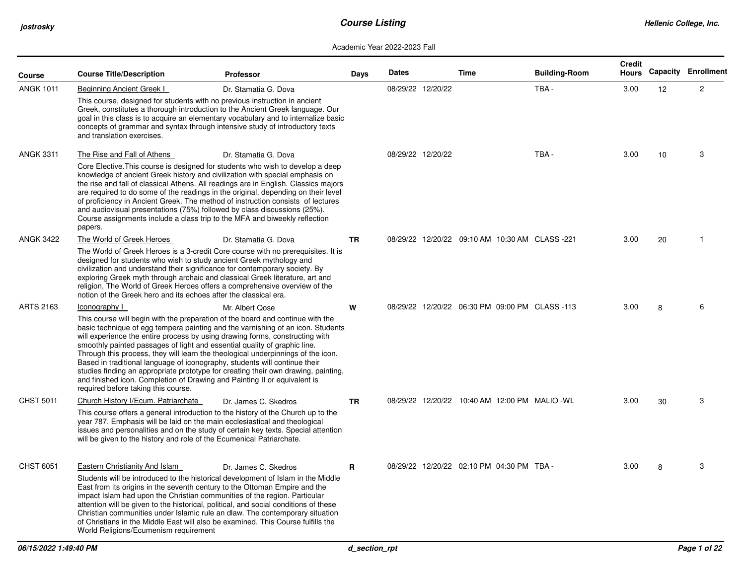| Course           | <b>Course Title/Description</b>                                                                                                                                                                                                                                                                                                                                              | <b>Professor</b>                                                                                                                                                                                                                                                                                                                                                                                                                                      | Days      | <b>Dates</b>      | Time                                           | <b>Building-Room</b> | <b>Credit</b><br>Hours |                 | <b>Capacity Enrollment</b> |
|------------------|------------------------------------------------------------------------------------------------------------------------------------------------------------------------------------------------------------------------------------------------------------------------------------------------------------------------------------------------------------------------------|-------------------------------------------------------------------------------------------------------------------------------------------------------------------------------------------------------------------------------------------------------------------------------------------------------------------------------------------------------------------------------------------------------------------------------------------------------|-----------|-------------------|------------------------------------------------|----------------------|------------------------|-----------------|----------------------------|
| <b>ANGK 1011</b> | Beginning Ancient Greek I<br>This course, designed for students with no previous instruction in ancient<br>and translation exercises.                                                                                                                                                                                                                                        | Dr. Stamatia G. Dova<br>Greek, constitutes a thorough introduction to the Ancient Greek language. Our<br>goal in this class is to acquire an elementary vocabulary and to internalize basic<br>concepts of grammar and syntax through intensive study of introductory texts                                                                                                                                                                           |           | 08/29/22 12/20/22 |                                                | TBA -                | 3.00                   | 12 <sup>°</sup> | $\overline{2}$             |
| <b>ANGK 3311</b> | The Rise and Fall of Athens<br>and audiovisual presentations (75%) followed by class discussions (25%).<br>Course assignments include a class trip to the MFA and biweekly reflection<br>papers.                                                                                                                                                                             | Dr. Stamatia G. Dova<br>Core Elective. This course is designed for students who wish to develop a deep<br>knowledge of ancient Greek history and civilization with special emphasis on<br>the rise and fall of classical Athens. All readings are in English. Classics majors<br>are required to do some of the readings in the original, depending on their level<br>of proficiency in Ancient Greek. The method of instruction consists of lectures |           | 08/29/22 12/20/22 |                                                | TBA-                 | 3.00                   | 10              | 3                          |
| <b>ANGK 3422</b> | The World of Greek Heroes<br>designed for students who wish to study ancient Greek mythology and<br>civilization and understand their significance for contemporary society. By<br>exploring Greek myth through archaic and classical Greek literature, art and<br>notion of the Greek hero and its echoes after the classical era.                                          | Dr. Stamatia G. Dova<br>The World of Greek Heroes is a 3-credit Core course with no prerequisites. It is<br>religion, The World of Greek Heroes offers a comprehensive overview of the                                                                                                                                                                                                                                                                | <b>TR</b> |                   | 08/29/22 12/20/22 09:10 AM 10:30 AM CLASS -221 |                      | 3.00                   | 20              |                            |
| <b>ARTS 2163</b> | Iconography I<br>will experience the entire process by using drawing forms, constructing with<br>smoothly painted passages of light and essential quality of graphic line.<br>Based in traditional language of iconography, students will continue their<br>and finished icon. Completion of Drawing and Painting II or equivalent is<br>required before taking this course. | Mr. Albert Qose<br>This course will begin with the preparation of the board and continue with the<br>basic technique of egg tempera painting and the varnishing of an icon. Students<br>Through this process, they will learn the theological underpinnings of the icon.<br>studies finding an appropriate prototype for creating their own drawing, painting,                                                                                        | W         |                   | 08/29/22 12/20/22 06:30 PM 09:00 PM CLASS -113 |                      | 3.00                   | 8               | 6                          |
| <b>CHST 5011</b> | Church History I/Ecum. Patriarchate<br>year 787. Emphasis will be laid on the main ecclesiastical and theological<br>will be given to the history and role of the Ecumenical Patriarchate.                                                                                                                                                                                   | Dr. James C. Skedros<br>This course offers a general introduction to the history of the Church up to the<br>issues and personalities and on the study of certain key texts. Special attention                                                                                                                                                                                                                                                         | <b>TR</b> |                   | 08/29/22 12/20/22 10:40 AM 12:00 PM MALIO -WL  |                      | 3.00                   | 30              | 3                          |
| <b>CHST 6051</b> | Eastern Christianity And Islam<br>East from its origins in the seventh century to the Ottoman Empire and the<br>impact Islam had upon the Christian communities of the region. Particular<br>World Religions/Ecumenism requirement                                                                                                                                           | Dr. James C. Skedros<br>Students will be introduced to the historical development of Islam in the Middle<br>attention will be given to the historical, political, and social conditions of these<br>Christian communities under Islamic rule an dlaw. The contemporary situation<br>of Christians in the Middle East will also be examined. This Course fulfills the                                                                                  | R         |                   | 08/29/22 12/20/22 02:10 PM 04:30 PM TBA-       |                      | 3.00                   | 8               | 3                          |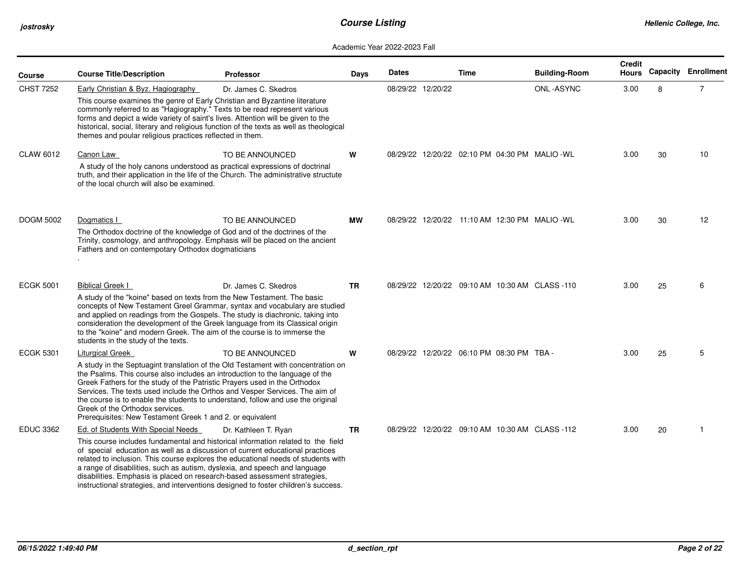| Course           | <b>Course Title/Description</b>                                                                                                                                                                                                                                                                                                                                                                                             | <b>Professor</b>                                                                                                                                                                                                                                            | Days      | <b>Dates</b> |                   | <b>Time</b> |                                           | <b>Building-Room</b>                           | <b>Credit</b><br>Hours |    | <b>Capacity Enrollment</b> |
|------------------|-----------------------------------------------------------------------------------------------------------------------------------------------------------------------------------------------------------------------------------------------------------------------------------------------------------------------------------------------------------------------------------------------------------------------------|-------------------------------------------------------------------------------------------------------------------------------------------------------------------------------------------------------------------------------------------------------------|-----------|--------------|-------------------|-------------|-------------------------------------------|------------------------------------------------|------------------------|----|----------------------------|
| CHST 7252        | Early Christian & Byz. Hagiography<br>This course examines the genre of Early Christian and Byzantine literature<br>commonly referred to as "Hagiography." Texts to be read represent various<br>forms and depict a wide variety of saint's lives. Attention will be given to the<br>themes and poular religious practices reflected in them.                                                                               | Dr. James C. Skedros<br>historical, social, literary and religious function of the texts as well as theological                                                                                                                                             |           |              | 08/29/22 12/20/22 |             |                                           | ONL-ASYNC                                      | 3.00                   | 8  | $\overline{7}$             |
| <b>CLAW 6012</b> | Canon Law                                                                                                                                                                                                                                                                                                                                                                                                                   | TO BE ANNOUNCED                                                                                                                                                                                                                                             | W         |              |                   |             |                                           | 08/29/22 12/20/22 02:10 PM 04:30 PM MALIO -WL  | 3.00                   | 30 | 10                         |
|                  | A study of the holy canons understood as practical expressions of doctrinal<br>of the local church will also be examined.                                                                                                                                                                                                                                                                                                   | truth, and their application in the life of the Church. The administrative structute                                                                                                                                                                        |           |              |                   |             |                                           |                                                |                        |    |                            |
| <b>DOGM 5002</b> | Dogmatics I                                                                                                                                                                                                                                                                                                                                                                                                                 | TO BE ANNOUNCED                                                                                                                                                                                                                                             | <b>MW</b> |              |                   |             |                                           | 08/29/22 12/20/22 11:10 AM 12:30 PM MALIO -WL  | 3.00                   | 30 | 12                         |
|                  | The Orthodox doctrine of the knowledge of God and of the doctrines of the<br>Trinity, cosmology, and anthropology. Emphasis will be placed on the ancient<br>Fathers and on contempotary Orthodox dogmaticians                                                                                                                                                                                                              |                                                                                                                                                                                                                                                             |           |              |                   |             |                                           |                                                |                        |    |                            |
| <b>ECGK 5001</b> | <b>Biblical Greek I</b>                                                                                                                                                                                                                                                                                                                                                                                                     | Dr. James C. Skedros                                                                                                                                                                                                                                        | <b>TR</b> |              |                   |             |                                           | 08/29/22 12/20/22 09:10 AM 10:30 AM CLASS -110 | 3.00                   | 25 | 6                          |
|                  | A study of the "koine" based on texts from the New Testament. The basic<br>and applied on readings from the Gospels. The study is diachronic, taking into<br>consideration the development of the Greek language from its Classical origin<br>to the "koine" and modern Greek. The aim of the course is to immerse the<br>students in the study of the texts.                                                               | concepts of New Testament Greel Grammar, syntax and vocabulary are studied                                                                                                                                                                                  |           |              |                   |             |                                           |                                                |                        |    |                            |
| <b>ECGK 5301</b> | <b>Liturgical Greek</b>                                                                                                                                                                                                                                                                                                                                                                                                     | TO BE ANNOUNCED                                                                                                                                                                                                                                             | W         |              |                   |             | 08/29/22 12/20/22 06:10 PM 08:30 PM TBA - |                                                | 3.00                   | 25 | 5                          |
|                  | the Psalms. This course also includes an introduction to the language of the<br>Greek Fathers for the study of the Patristic Prayers used in the Orthodox<br>Services. The texts used include the Orthos and Vesper Services. The aim of<br>the course is to enable the students to understand, follow and use the original<br>Greek of the Orthodox services.<br>Prerequisites: New Testament Greek 1 and 2. or equivalent | A study in the Septuagint translation of the Old Testament with concentration on                                                                                                                                                                            |           |              |                   |             |                                           |                                                |                        |    |                            |
| <b>EDUC 3362</b> | Ed. of Students With Special Needs                                                                                                                                                                                                                                                                                                                                                                                          | Dr. Kathleen T. Ryan                                                                                                                                                                                                                                        | <b>TR</b> |              |                   |             |                                           | 08/29/22 12/20/22 09:10 AM 10:30 AM CLASS-112  | 3.00                   | 20 | -1                         |
|                  | of special education as well as a discussion of current educational practices<br>a range of disabilities, such as autism, dyslexia, and speech and language<br>disabilities. Emphasis is placed on research-based assessment strategies,                                                                                                                                                                                    | This course includes fundamental and historical information related to the field<br>related to inclusion. This course explores the educational needs of students with<br>instructional strategies, and interventions designed to foster children's success. |           |              |                   |             |                                           |                                                |                        |    |                            |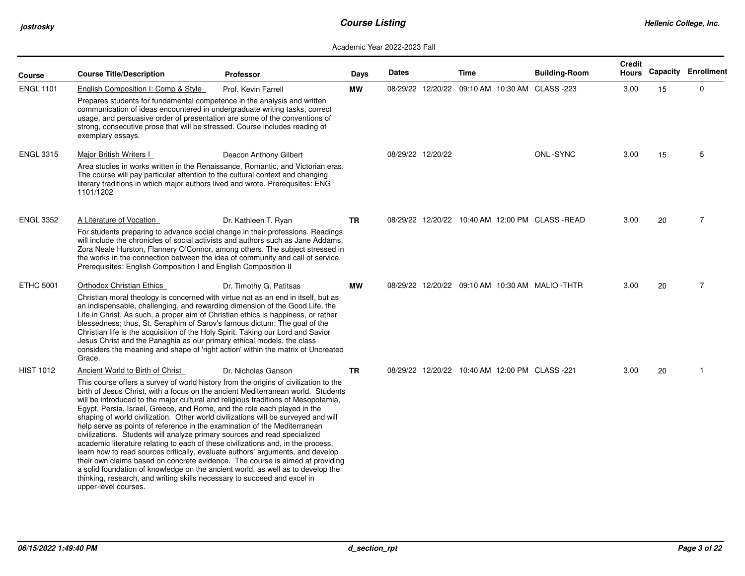| Course           | <b>Course Title/Description</b>                                                                                                                                                                                                                                                                                                                                                                                                                                                                                                                                                                                                                                                                                                                                                                                                                                                                                                                                                                                                                                             | <b>Professor</b>        | Days      | <b>Dates</b> |                   | <b>Time</b> | <b>Building-Room</b>                            | <b>Credit</b><br><b>Hours</b> |    | <b>Capacity Enrollment</b> |
|------------------|-----------------------------------------------------------------------------------------------------------------------------------------------------------------------------------------------------------------------------------------------------------------------------------------------------------------------------------------------------------------------------------------------------------------------------------------------------------------------------------------------------------------------------------------------------------------------------------------------------------------------------------------------------------------------------------------------------------------------------------------------------------------------------------------------------------------------------------------------------------------------------------------------------------------------------------------------------------------------------------------------------------------------------------------------------------------------------|-------------------------|-----------|--------------|-------------------|-------------|-------------------------------------------------|-------------------------------|----|----------------------------|
| <b>ENGL 1101</b> | English Composition I: Comp & Style<br>Prepares students for fundamental competence in the analysis and written<br>communication of ideas encountered in undergraduate writing tasks, correct<br>usage, and persuasive order of presentation are some of the conventions of<br>strong, consecutive prose that will be stressed. Course includes reading of<br>exemplary essays.                                                                                                                                                                                                                                                                                                                                                                                                                                                                                                                                                                                                                                                                                             | Prof. Kevin Farrell     | <b>MW</b> |              |                   |             | 08/29/22 12/20/22 09:10 AM 10:30 AM CLASS -223  | 3.00                          | 15 | 0                          |
| <b>ENGL 3315</b> | Major British Writers I<br>Area studies in works written in the Renaissance, Romantic, and Victorian eras.<br>The course will pay particular attention to the cultural context and changing<br>literary traditions in which major authors lived and wrote. Prerequsites: ENG<br>1101/1202                                                                                                                                                                                                                                                                                                                                                                                                                                                                                                                                                                                                                                                                                                                                                                                   | Deacon Anthony Gilbert  |           |              | 08/29/22 12/20/22 |             | ONL-SYNC                                        | 3.00                          | 15 | 5                          |
| <b>ENGL 3352</b> | A Literature of Vocation<br>For students preparing to advance social change in their professions. Readings<br>will include the chronicles of social activists and authors such as Jane Addams,<br>Zora Neale Hurston, Flannery O'Connor, among others. The subject stressed in<br>the works in the connection between the idea of community and call of service.<br>Prerequisites: English Composition I and English Composition II                                                                                                                                                                                                                                                                                                                                                                                                                                                                                                                                                                                                                                         | Dr. Kathleen T. Ryan    | TR.       |              |                   |             | 08/29/22 12/20/22 10:40 AM 12:00 PM CLASS-READ  | 3.00                          | 20 | $\overline{7}$             |
| <b>ETHC 5001</b> | Orthodox Christian Ethics<br>Christian moral theology is concerned with virtue not as an end in itself, but as<br>an indispensable, challenging, and rewarding dimension of the Good Life, the<br>Life in Christ. As such, a proper aim of Christian ethics is happiness, or rather<br>blessedness; thus, St. Seraphim of Sarov's famous dictum: The goal of the<br>Christian life is the acquisition of the Holy Spirit. Taking our Lord and Savior<br>Jesus Christ and the Panaghia as our primary ethical models, the class<br>considers the meaning and shape of 'right action' within the matrix of Uncreated<br>Grace.                                                                                                                                                                                                                                                                                                                                                                                                                                                | Dr. Timothy G. Patitsas | <b>MW</b> |              |                   |             | 08/29/22 12/20/22 09:10 AM 10:30 AM MALIO -THTR | 3.00                          | 20 | $\overline{7}$             |
| <b>HIST 1012</b> | Ancient World to Birth of Christ<br>This course offers a survey of world history from the origins of civilization to the<br>birth of Jesus Christ, with a focus on the ancient Mediterranean world. Students<br>will be introduced to the major cultural and religious traditions of Mesopotamia,<br>Egypt, Persia, Israel, Greece, and Rome, and the role each played in the<br>shaping of world civilization. Other world civilizations will be surveyed and will<br>help serve as points of reference in the examination of the Mediterranean<br>civilizations. Students will analyze primary sources and read specialized<br>academic literature relating to each of these civilizations and, in the process,<br>learn how to read sources critically, evaluate authors' arguments, and develop<br>their own claims based on concrete evidence. The course is aimed at providing<br>a solid foundation of knowledge on the ancient world, as well as to develop the<br>thinking, research, and writing skills necessary to succeed and excel in<br>upper-level courses. | Dr. Nicholas Ganson     | TR        |              |                   |             | 08/29/22 12/20/22 10:40 AM 12:00 PM CLASS -221  | 3.00                          | 20 |                            |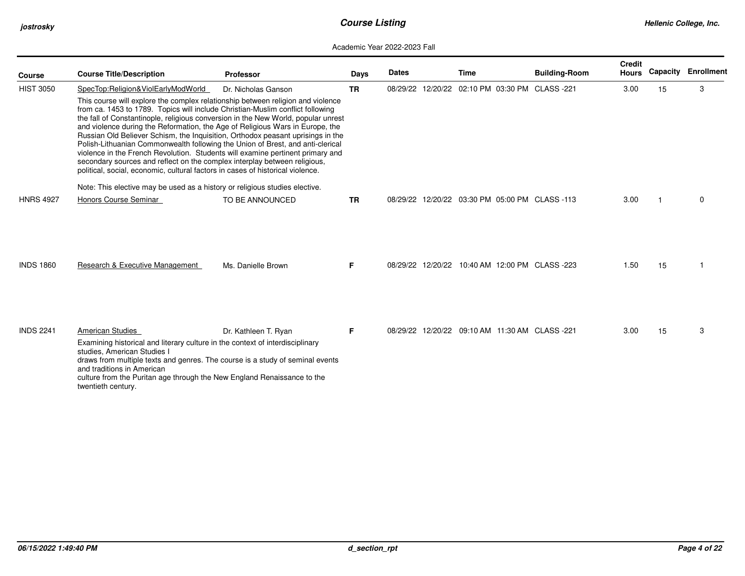| <b>Course</b>    | <b>Course Title/Description</b>                                                                                                                                                                                                                                                                                                                                                                                                                                                                                                                                                                                                                                                                                                                               | <b>Professor</b>     | Days      | <b>Dates</b> | Time                                           | <b>Building-Room</b> | <b>Credit</b><br>Hours | Capacity | Enrollment |
|------------------|---------------------------------------------------------------------------------------------------------------------------------------------------------------------------------------------------------------------------------------------------------------------------------------------------------------------------------------------------------------------------------------------------------------------------------------------------------------------------------------------------------------------------------------------------------------------------------------------------------------------------------------------------------------------------------------------------------------------------------------------------------------|----------------------|-----------|--------------|------------------------------------------------|----------------------|------------------------|----------|------------|
| <b>HIST 3050</b> | SpecTop:Religion&ViolEarlyModWorld                                                                                                                                                                                                                                                                                                                                                                                                                                                                                                                                                                                                                                                                                                                            | Dr. Nicholas Ganson  | <b>TR</b> |              | 08/29/22 12/20/22 02:10 PM 03:30 PM CLASS -221 |                      | 3.00                   | 15       | 3          |
| <b>HNRS 4927</b> | This course will explore the complex relationship between religion and violence<br>from ca. 1453 to 1789. Topics will include Christian-Muslim conflict following<br>the fall of Constantinople, religious conversion in the New World, popular unrest<br>and violence during the Reformation, the Age of Religious Wars in Europe, the<br>Russian Old Believer Schism, the Inquisition, Orthodox peasant uprisings in the<br>Polish-Lithuanian Commonwealth following the Union of Brest, and anti-clerical<br>violence in the French Revolution. Students will examine pertinent primary and<br>secondary sources and reflect on the complex interplay between religious,<br>political, social, economic, cultural factors in cases of historical violence. |                      |           |              |                                                |                      |                        |          |            |
|                  | Note: This elective may be used as a history or religious studies elective.                                                                                                                                                                                                                                                                                                                                                                                                                                                                                                                                                                                                                                                                                   |                      |           |              |                                                |                      |                        |          |            |
|                  | Honors Course Seminar                                                                                                                                                                                                                                                                                                                                                                                                                                                                                                                                                                                                                                                                                                                                         | TO BE ANNOUNCED      | TR.       |              | 08/29/22 12/20/22 03:30 PM 05:00 PM CLASS -113 |                      | 3.00                   |          | 0          |
| <b>INDS 1860</b> | Research & Executive Management                                                                                                                                                                                                                                                                                                                                                                                                                                                                                                                                                                                                                                                                                                                               | Ms. Danielle Brown   | F.        |              | 08/29/22 12/20/22 10:40 AM 12:00 PM CLASS -223 |                      | 1.50                   | 15       |            |
| <b>INDS 2241</b> | American Studies                                                                                                                                                                                                                                                                                                                                                                                                                                                                                                                                                                                                                                                                                                                                              | Dr. Kathleen T. Ryan | F.        |              | 08/29/22 12/20/22 09:10 AM 11:30 AM CLASS -221 |                      | 3.00                   | 15       | 3          |
|                  | Examining historical and literary culture in the context of interdisciplinary<br>studies, American Studies I<br>draws from multiple texts and genres. The course is a study of seminal events<br>and traditions in American<br>culture from the Puritan age through the New England Renaissance to the<br>twentieth century.                                                                                                                                                                                                                                                                                                                                                                                                                                  |                      |           |              |                                                |                      |                        |          |            |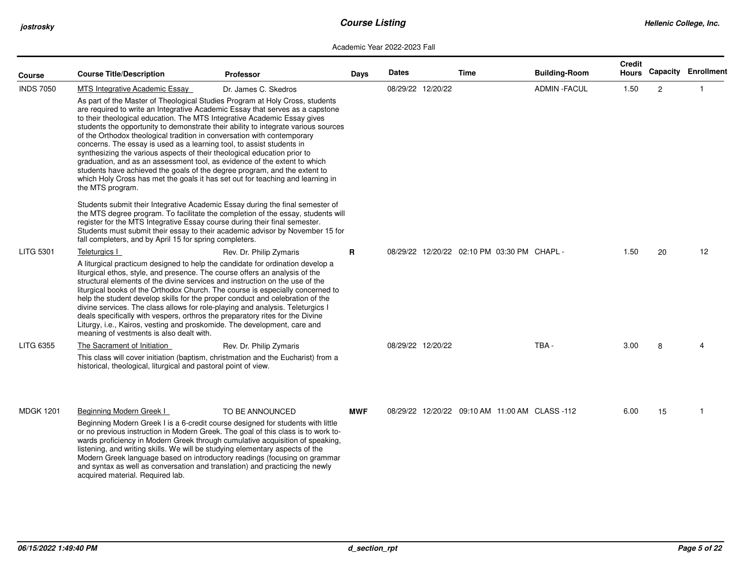| <b>Course</b>    | <b>Course Title/Description</b>                                                                                                                                                                                                                                                                                                                                                                                                                                                                                                                                                                                                                                                                                                                                                                                                                                                                                  | <b>Professor</b>                                                                                                                                                                                                                                                                                                                   | Days       | <b>Dates</b> |                   | Time                                           | <b>Building-Room</b> | Credit<br><b>Hours</b> |    | <b>Capacity Enrollment</b> |
|------------------|------------------------------------------------------------------------------------------------------------------------------------------------------------------------------------------------------------------------------------------------------------------------------------------------------------------------------------------------------------------------------------------------------------------------------------------------------------------------------------------------------------------------------------------------------------------------------------------------------------------------------------------------------------------------------------------------------------------------------------------------------------------------------------------------------------------------------------------------------------------------------------------------------------------|------------------------------------------------------------------------------------------------------------------------------------------------------------------------------------------------------------------------------------------------------------------------------------------------------------------------------------|------------|--------------|-------------------|------------------------------------------------|----------------------|------------------------|----|----------------------------|
| <b>INDS 7050</b> | MTS Integrative Academic Essay                                                                                                                                                                                                                                                                                                                                                                                                                                                                                                                                                                                                                                                                                                                                                                                                                                                                                   | Dr. James C. Skedros                                                                                                                                                                                                                                                                                                               |            |              | 08/29/22 12/20/22 |                                                | <b>ADMIN - FACUL</b> | 1.50                   | 2  | -1                         |
|                  | As part of the Master of Theological Studies Program at Holy Cross, students<br>are required to write an Integrative Academic Essay that serves as a capstone<br>to their theological education. The MTS Integrative Academic Essay gives<br>students the opportunity to demonstrate their ability to integrate various sources<br>of the Orthodox theological tradition in conversation with contemporary<br>concerns. The essay is used as a learning tool, to assist students in<br>synthesizing the various aspects of their theological education prior to<br>graduation, and as an assessment tool, as evidence of the extent to which<br>students have achieved the goals of the degree program, and the extent to<br>which Holy Cross has met the goals it has set out for teaching and learning in<br>the MTS program.<br>Students submit their Integrative Academic Essay during the final semester of |                                                                                                                                                                                                                                                                                                                                    |            |              |                   |                                                |                      |                        |    |                            |
|                  | register for the MTS Integrative Essay course during their final semester.<br>fall completers, and by April 15 for spring completers.                                                                                                                                                                                                                                                                                                                                                                                                                                                                                                                                                                                                                                                                                                                                                                            | the MTS degree program. To facilitate the completion of the essay, students will<br>Students must submit their essay to their academic advisor by November 15 for                                                                                                                                                                  |            |              |                   |                                                |                      |                        |    |                            |
| <b>LITG 5301</b> | Teleturgics I                                                                                                                                                                                                                                                                                                                                                                                                                                                                                                                                                                                                                                                                                                                                                                                                                                                                                                    | Rev. Dr. Philip Zymaris                                                                                                                                                                                                                                                                                                            | R          |              |                   | 08/29/22 12/20/22 02:10 PM 03:30 PM CHAPL -    |                      | 1.50                   | 20 | 12                         |
|                  | A liturgical practicum designed to help the candidate for ordination develop a<br>liturgical ethos, style, and presence. The course offers an analysis of the<br>structural elements of the divine services and instruction on the use of the<br>liturgical books of the Orthodox Church. The course is especially concerned to<br>help the student develop skills for the proper conduct and celebration of the<br>divine services. The class allows for role-playing and analysis. Teleturgics I<br>deals specifically with vespers, orthros the preparatory rites for the Divine<br>Liturgy, i.e., Kairos, vesting and proskomide. The development, care and<br>meaning of vestments is also dealt with.                                                                                                                                                                                                      |                                                                                                                                                                                                                                                                                                                                    |            |              |                   |                                                |                      |                        |    |                            |
| LITG 6355        | The Sacrament of Initiation<br>historical, theological, liturgical and pastoral point of view.                                                                                                                                                                                                                                                                                                                                                                                                                                                                                                                                                                                                                                                                                                                                                                                                                   | Rev. Dr. Philip Zymaris<br>This class will cover initiation (baptism, christmation and the Eucharist) from a                                                                                                                                                                                                                       |            |              | 08/29/22 12/20/22 |                                                | TBA-                 | 3.00                   | 8  |                            |
| <b>MDGK 1201</b> | Beginning Modern Greek I                                                                                                                                                                                                                                                                                                                                                                                                                                                                                                                                                                                                                                                                                                                                                                                                                                                                                         | TO BE ANNOUNCED                                                                                                                                                                                                                                                                                                                    | <b>MWF</b> |              |                   | 08/29/22 12/20/22 09:10 AM 11:00 AM CLASS -112 |                      | 6.00                   | 15 | -1                         |
|                  | listening, and writing skills. We will be studying elementary aspects of the<br>and syntax as well as conversation and translation) and practicing the newly<br>acquired material. Required lab.                                                                                                                                                                                                                                                                                                                                                                                                                                                                                                                                                                                                                                                                                                                 | Beginning Modern Greek I is a 6-credit course designed for students with little<br>or no previous instruction in Modern Greek. The goal of this class is to work to-<br>wards proficiency in Modern Greek through cumulative acquisition of speaking,<br>Modern Greek language based on introductory readings (focusing on grammar |            |              |                   |                                                |                      |                        |    |                            |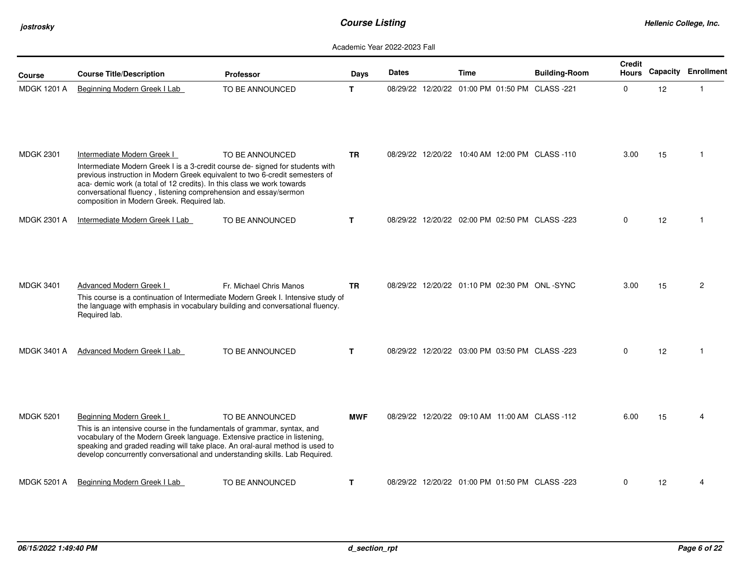| Course             | <b>Course Title/Description</b>                                                                                                                                                                                                                                                                                                                                                          | <b>Professor</b>        | Days         | <b>Dates</b> | Time                                           | <b>Building-Room</b> | <b>Credit</b><br>Hours |    | <b>Capacity Enrollment</b> |
|--------------------|------------------------------------------------------------------------------------------------------------------------------------------------------------------------------------------------------------------------------------------------------------------------------------------------------------------------------------------------------------------------------------------|-------------------------|--------------|--------------|------------------------------------------------|----------------------|------------------------|----|----------------------------|
| <b>MDGK 1201 A</b> | Beginning Modern Greek I Lab                                                                                                                                                                                                                                                                                                                                                             | TO BE ANNOUNCED         | T            |              | 08/29/22 12/20/22 01:00 PM 01:50 PM CLASS -221 |                      | $\mathbf 0$            | 12 |                            |
| <b>MDGK 2301</b>   | Intermediate Modern Greek I<br>Intermediate Modern Greek I is a 3-credit course de- signed for students with<br>previous instruction in Modern Greek equivalent to two 6-credit semesters of<br>aca- demic work (a total of 12 credits). In this class we work towards<br>conversational fluency, listening comprehension and essay/sermon<br>composition in Modern Greek. Required lab. | TO BE ANNOUNCED         | <b>TR</b>    |              | 08/29/22 12/20/22 10:40 AM 12:00 PM CLASS -110 |                      | 3.00                   | 15 | -1                         |
| <b>MDGK 2301 A</b> | Intermediate Modern Greek I Lab                                                                                                                                                                                                                                                                                                                                                          | TO BE ANNOUNCED         | $\mathbf{T}$ |              | 08/29/22 12/20/22 02:00 PM 02:50 PM CLASS -223 |                      | 0                      | 12 |                            |
| <b>MDGK 3401</b>   | Advanced Modern Greek I<br>This course is a continuation of Intermediate Modern Greek I. Intensive study of<br>the language with emphasis in vocabulary building and conversational fluency.<br>Required lab.                                                                                                                                                                            | Fr. Michael Chris Manos | <b>TR</b>    |              | 08/29/22 12/20/22 01:10 PM 02:30 PM ONL-SYNC   |                      | 3.00                   | 15 | $\overline{2}$             |
| <b>MDGK 3401 A</b> | Advanced Modern Greek I Lab                                                                                                                                                                                                                                                                                                                                                              | TO BE ANNOUNCED         | $\mathbf{T}$ |              | 08/29/22 12/20/22 03:00 PM 03:50 PM CLASS -223 |                      | $\mathbf 0$            | 12 |                            |
| <b>MDGK 5201</b>   | Beginning Modern Greek I<br>This is an intensive course in the fundamentals of grammar, syntax, and<br>vocabulary of the Modern Greek language. Extensive practice in listening,<br>speaking and graded reading will take place. An oral-aural method is used to<br>develop concurrently conversational and understanding skills. Lab Required.                                          | TO BE ANNOUNCED         | <b>MWF</b>   |              | 08/29/22 12/20/22 09:10 AM 11:00 AM CLASS -112 |                      | 6.00                   | 15 |                            |
| <b>MDGK 5201 A</b> | Beginning Modern Greek I Lab                                                                                                                                                                                                                                                                                                                                                             | TO BE ANNOUNCED         | T            |              | 08/29/22 12/20/22 01:00 PM 01:50 PM CLASS -223 |                      | $\Omega$               | 12 | 4                          |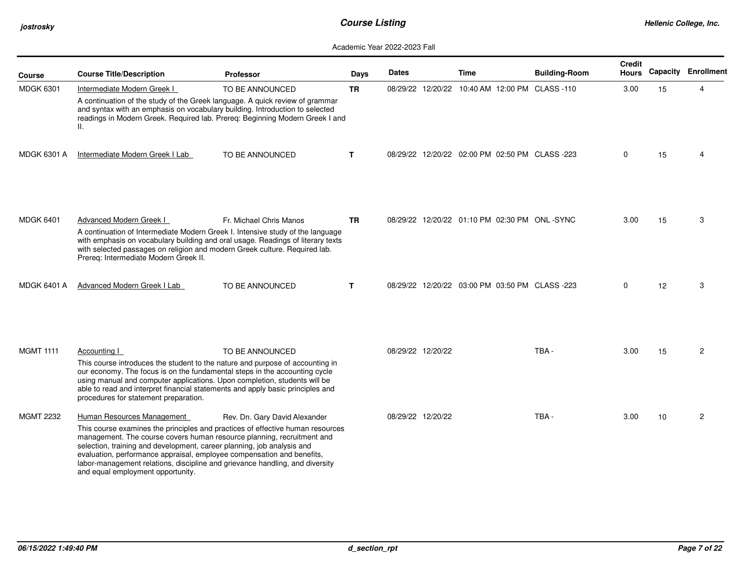| Course             | <b>Course Title/Description</b>                                                                                                                                                                                                                                                                                                                                               | <b>Professor</b>                                                                                                                                                  | Days         | <b>Dates</b>      |                   | <b>Time</b>                                    | <b>Building-Room</b> | <b>Credit</b><br><b>Hours</b> |    | <b>Capacity Enrollment</b> |
|--------------------|-------------------------------------------------------------------------------------------------------------------------------------------------------------------------------------------------------------------------------------------------------------------------------------------------------------------------------------------------------------------------------|-------------------------------------------------------------------------------------------------------------------------------------------------------------------|--------------|-------------------|-------------------|------------------------------------------------|----------------------|-------------------------------|----|----------------------------|
| <b>MDGK 6301</b>   | Intermediate Modern Greek I                                                                                                                                                                                                                                                                                                                                                   | TO BE ANNOUNCED                                                                                                                                                   | <b>TR</b>    |                   |                   | 08/29/22 12/20/22 10:40 AM 12:00 PM CLASS -110 |                      | 3.00                          | 15 | $\boldsymbol{\Delta}$      |
|                    | and syntax with an emphasis on vocabulary building. Introduction to selected<br>Ш.                                                                                                                                                                                                                                                                                            | A continuation of the study of the Greek language. A quick review of grammar<br>readings in Modern Greek. Required lab. Prereq: Beginning Modern Greek I and      |              |                   |                   |                                                |                      |                               |    |                            |
| <b>MDGK 6301 A</b> | Intermediate Modern Greek I Lab                                                                                                                                                                                                                                                                                                                                               | TO BE ANNOUNCED                                                                                                                                                   | т            |                   |                   | 08/29/22 12/20/22 02:00 PM 02:50 PM CLASS -223 |                      | 0                             | 15 |                            |
| <b>MDGK 6401</b>   | Advanced Modern Greek I                                                                                                                                                                                                                                                                                                                                                       | Fr. Michael Chris Manos                                                                                                                                           | <b>TR</b>    |                   |                   | 08/29/22 12/20/22 01:10 PM 02:30 PM ONL-SYNC   |                      | 3.00                          | 15 | 3                          |
|                    | with selected passages on religion and modern Greek culture. Required lab.<br>Prereq: Intermediate Modern Greek II.                                                                                                                                                                                                                                                           | A continuation of Intermediate Modern Greek I. Intensive study of the language<br>with emphasis on vocabulary building and oral usage. Readings of literary texts |              |                   |                   |                                                |                      |                               |    |                            |
| <b>MDGK 6401 A</b> | Advanced Modern Greek I Lab                                                                                                                                                                                                                                                                                                                                                   | TO BE ANNOUNCED                                                                                                                                                   | $\mathbf{T}$ |                   |                   | 08/29/22 12/20/22 03:00 PM 03:50 PM CLASS -223 |                      | 0                             | 12 | 3                          |
|                    |                                                                                                                                                                                                                                                                                                                                                                               |                                                                                                                                                                   |              |                   |                   |                                                |                      |                               |    |                            |
| <b>MGMT 1111</b>   | Accounting I<br>our economy. The focus is on the fundamental steps in the accounting cycle<br>using manual and computer applications. Upon completion, students will be<br>able to read and interpret financial statements and apply basic principles and<br>procedures for statement preparation.                                                                            | TO BE ANNOUNCED<br>This course introduces the student to the nature and purpose of accounting in                                                                  |              | 08/29/22 12/20/22 |                   |                                                | TBA-                 | 3.00                          | 15 | 2                          |
| <b>MGMT 2232</b>   | Human Resources Management<br>management. The course covers human resource planning, recruitment and<br>selection, training and development, career planning, job analysis and<br>evaluation, performance appraisal, employee compensation and benefits,<br>labor-management relations, discipline and grievance handling, and diversity<br>and equal employment opportunity. | Rev. Dn. Gary David Alexander<br>This course examines the principles and practices of effective human resources                                                   |              |                   | 08/29/22 12/20/22 |                                                | TBA-                 | 3.00                          | 10 | 2                          |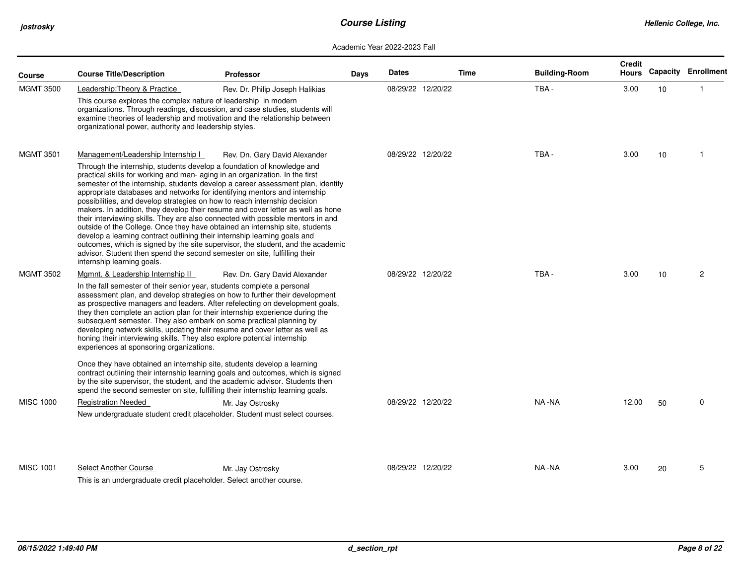| <b>Course</b>    | <b>Course Title/Description</b>                                                                                                                                                                                                                                                                                                                                                                                                                                                                                                               | Professor                                                                                                                                                                                                                                                                                                                                                                                                                                                                                                                        | Days | <b>Dates</b> |                   | Time | <b>Building-Room</b> | Credit<br>Hours |    | <b>Capacity Enrollment</b> |
|------------------|-----------------------------------------------------------------------------------------------------------------------------------------------------------------------------------------------------------------------------------------------------------------------------------------------------------------------------------------------------------------------------------------------------------------------------------------------------------------------------------------------------------------------------------------------|----------------------------------------------------------------------------------------------------------------------------------------------------------------------------------------------------------------------------------------------------------------------------------------------------------------------------------------------------------------------------------------------------------------------------------------------------------------------------------------------------------------------------------|------|--------------|-------------------|------|----------------------|-----------------|----|----------------------------|
| <b>MGMT 3500</b> | Leadership: Theory & Practice<br>This course explores the complex nature of leadership in modern<br>organizational power, authority and leadership styles.                                                                                                                                                                                                                                                                                                                                                                                    | Rev. Dr. Philip Joseph Halikias<br>organizations. Through readings, discussion, and case studies, students will<br>examine theories of leadership and motivation and the relationship between                                                                                                                                                                                                                                                                                                                                    |      |              | 08/29/22 12/20/22 |      | TBA-                 | 3.00            | 10 | -1                         |
| <b>MGMT 3501</b> | Management/Leadership Internship I<br>Through the internship, students develop a foundation of knowledge and<br>practical skills for working and man-aging in an organization. In the first<br>appropriate databases and networks for identifying mentors and internship<br>possibilities, and develop strategies on how to reach internship decision<br>develop a learning contract outlining their internship learning goals and<br>advisor. Student then spend the second semester on site, fulfilling their<br>internship learning goals. | Rev. Dn. Gary David Alexander<br>semester of the internship, students develop a career assessment plan, identify<br>makers. In addition, they develop their resume and cover letter as well as hone<br>their interviewing skills. They are also connected with possible mentors in and<br>outside of the College. Once they have obtained an internship site, students<br>outcomes, which is signed by the site supervisor, the student, and the academic                                                                        |      |              | 08/29/22 12/20/22 |      | TBA-                 | 3.00            | 10 | -1                         |
| <b>MGMT 3502</b> | Mgmnt. & Leadership Internship II<br>In the fall semester of their senior year, students complete a personal<br>subsequent semester. They also embark on some practical planning by<br>honing their interviewing skills. They also explore potential internship<br>experiences at sponsoring organizations.<br>Once they have obtained an internship site, students develop a learning                                                                                                                                                        | Rev. Dn. Gary David Alexander<br>assessment plan, and develop strategies on how to further their development<br>as prospective managers and leaders. After refelecting on development goals,<br>they then complete an action plan for their internship experience during the<br>developing network skills, updating their resume and cover letter as well as<br>contract outlining their internship learning goals and outcomes, which is signed<br>by the site supervisor, the student, and the academic advisor. Students then |      |              | 08/29/22 12/20/22 |      | TBA-                 | 3.00            | 10 | $\overline{2}$             |
| <b>MISC 1000</b> | <b>Registration Needed</b>                                                                                                                                                                                                                                                                                                                                                                                                                                                                                                                    | spend the second semester on site, fulfilling their internship learning goals.<br>Mr. Jay Ostrosky<br>New undergraduate student credit placeholder. Student must select courses.                                                                                                                                                                                                                                                                                                                                                 |      |              | 08/29/22 12/20/22 |      | NA -NA               | 12.00           | 50 | $\mathbf 0$                |
| <b>MISC 1001</b> | Select Another Course<br>This is an undergraduate credit placeholder. Select another course.                                                                                                                                                                                                                                                                                                                                                                                                                                                  | Mr. Jay Ostrosky                                                                                                                                                                                                                                                                                                                                                                                                                                                                                                                 |      |              | 08/29/22 12/20/22 |      | NA-NA                | 3.00            | 20 | 5                          |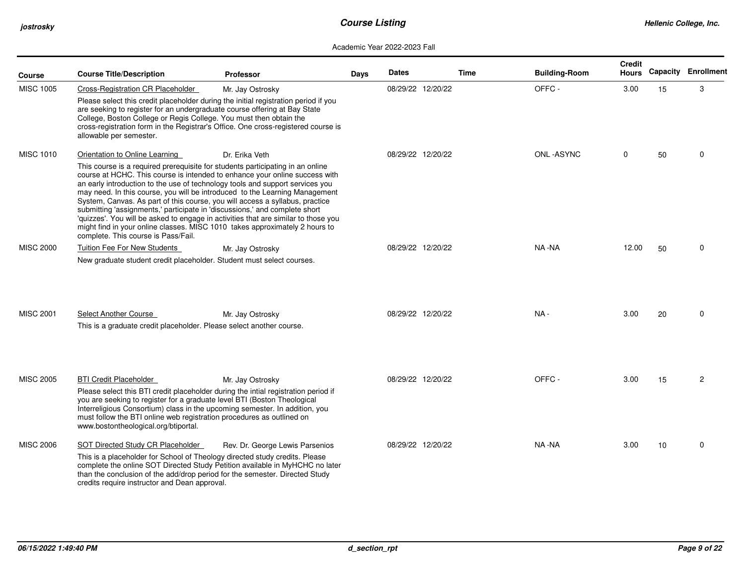| Course           | <b>Course Title/Description</b>                                                                                                                                                                                                                                                                                                                                                                                                                                                                                                                                                                                                                                                                                                           | <b>Professor</b>                | Days | <b>Dates</b>      | <b>Time</b> | <b>Building-Room</b> | <b>Credit</b><br><b>Hours</b> |    | <b>Capacity Enrollment</b> |
|------------------|-------------------------------------------------------------------------------------------------------------------------------------------------------------------------------------------------------------------------------------------------------------------------------------------------------------------------------------------------------------------------------------------------------------------------------------------------------------------------------------------------------------------------------------------------------------------------------------------------------------------------------------------------------------------------------------------------------------------------------------------|---------------------------------|------|-------------------|-------------|----------------------|-------------------------------|----|----------------------------|
| <b>MISC 1005</b> | Cross-Registration CR Placeholder<br>Please select this credit placeholder during the initial registration period if you<br>are seeking to register for an undergraduate course offering at Bay State<br>College, Boston College or Regis College. You must then obtain the<br>cross-registration form in the Registrar's Office. One cross-registered course is<br>allowable per semester.                                                                                                                                                                                                                                                                                                                                               | Mr. Jay Ostrosky                |      | 08/29/22 12/20/22 |             | OFFC-                | 3.00                          | 15 | 3                          |
| <b>MISC 1010</b> | Orientation to Online Learning<br>This course is a required prerequisite for students participating in an online<br>course at HCHC. This course is intended to enhance your online success with<br>an early introduction to the use of technology tools and support services you<br>may need. In this course, you will be introduced to the Learning Management<br>System, Canvas. As part of this course, you will access a syllabus, practice<br>submitting 'assignments,' participate in 'discussions,' and complete short<br>'quizzes'. You will be asked to engage in activities that are similar to those you<br>might find in your online classes. MISC 1010 takes approximately 2 hours to<br>complete. This course is Pass/Fail. | Dr. Erika Veth                  |      | 08/29/22 12/20/22 |             | <b>ONL-ASYNC</b>     | 0                             | 50 | $\mathbf 0$                |
| <b>MISC 2000</b> | <b>Tuition Fee For New Students</b><br>New graduate student credit placeholder. Student must select courses.                                                                                                                                                                                                                                                                                                                                                                                                                                                                                                                                                                                                                              | Mr. Jay Ostrosky                |      | 08/29/22 12/20/22 |             | NA -NA               | 12.00                         | 50 | $\mathbf 0$                |
| <b>MISC 2001</b> | Select Another Course<br>This is a graduate credit placeholder. Please select another course.                                                                                                                                                                                                                                                                                                                                                                                                                                                                                                                                                                                                                                             | Mr. Jay Ostrosky                |      | 08/29/22 12/20/22 |             | $NA -$               | 3.00                          | 20 | $\Omega$                   |
| <b>MISC 2005</b> | <b>BTI Credit Placeholder</b><br>Please select this BTI credit placeholder during the intial registration period if<br>you are seeking to register for a graduate level BTI (Boston Theological<br>Interreligious Consortium) class in the upcoming semester. In addition, you<br>must follow the BTI online web registration procedures as outlined on<br>www.bostontheological.org/btiportal.                                                                                                                                                                                                                                                                                                                                           | Mr. Jay Ostrosky                |      | 08/29/22 12/20/22 |             | OFFC-                | 3.00                          | 15 | $\overline{c}$             |
| <b>MISC 2006</b> | SOT Directed Study CR Placeholder<br>This is a placeholder for School of Theology directed study credits. Please<br>complete the online SOT Directed Study Petition available in MyHCHC no later<br>than the conclusion of the add/drop period for the semester. Directed Study<br>credits require instructor and Dean approval.                                                                                                                                                                                                                                                                                                                                                                                                          | Rev. Dr. George Lewis Parsenios |      | 08/29/22 12/20/22 |             | NA -NA               | 3.00                          | 10 | $\mathbf 0$                |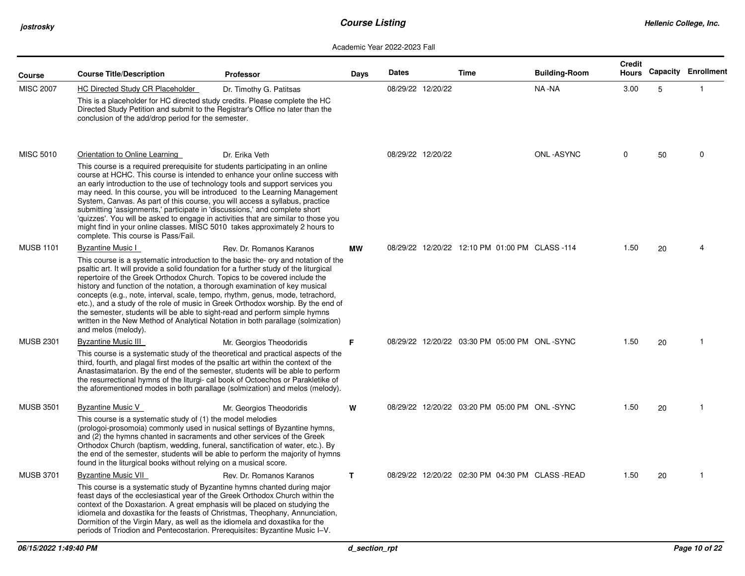| Course           | <b>Course Title/Description</b>                                                                                                                                                                                                                                                                                                                                                                                                                                                                                                                                                                                                                                                                    | <b>Professor</b>                                                                                                                                                                                   | Days         | <b>Dates</b> |                   | <b>Time</b>                                     | <b>Building-Room</b> | <b>Credit</b><br>Hours |    | <b>Capacity Enrollment</b> |
|------------------|----------------------------------------------------------------------------------------------------------------------------------------------------------------------------------------------------------------------------------------------------------------------------------------------------------------------------------------------------------------------------------------------------------------------------------------------------------------------------------------------------------------------------------------------------------------------------------------------------------------------------------------------------------------------------------------------------|----------------------------------------------------------------------------------------------------------------------------------------------------------------------------------------------------|--------------|--------------|-------------------|-------------------------------------------------|----------------------|------------------------|----|----------------------------|
| <b>MISC 2007</b> | <b>HC Directed Study CR Placeholder</b><br>This is a placeholder for HC directed study credits. Please complete the HC<br>Directed Study Petition and submit to the Registrar's Office no later than the<br>conclusion of the add/drop period for the semester.                                                                                                                                                                                                                                                                                                                                                                                                                                    | Dr. Timothy G. Patitsas                                                                                                                                                                            |              |              | 08/29/22 12/20/22 |                                                 | NA -NA               | 3.00                   | 5  | $\mathbf{1}$               |
| <b>MISC 5010</b> | Orientation to Online Learning<br>This course is a required prerequisite for students participating in an online<br>course at HCHC. This course is intended to enhance your online success with<br>an early introduction to the use of technology tools and support services you<br>may need. In this course, you will be introduced to the Learning Management<br>System, Canvas. As part of this course, you will access a syllabus, practice<br>submitting 'assignments,' participate in 'discussions,' and complete short<br>'quizzes'. You will be asked to engage in activities that are similar to those you<br>might find in your online classes. MISC 5010 takes approximately 2 hours to | Dr. Erika Veth                                                                                                                                                                                     |              |              | 08/29/22 12/20/22 |                                                 | ONL-ASYNC            | 0                      | 50 | $\mathbf 0$                |
| <b>MUSB 1101</b> | complete. This course is Pass/Fail.<br><b>Byzantine Music I</b><br>psaltic art. It will provide a solid foundation for a further study of the liturgical<br>repertoire of the Greek Orthodox Church. Topics to be covered include the<br>history and function of the notation, a thorough examination of key musical<br>concepts (e.g., note, interval, scale, tempo, rhythm, genus, mode, tetrachord,<br>the semester, students will be able to sight-read and perform simple hymns<br>written in the New Method of Analytical Notation in both parallage (solmization)<br>and melos (melody).                                                                                                    | Rev. Dr. Romanos Karanos<br>This course is a systematic introduction to the basic the- ory and notation of the<br>etc.), and a study of the role of music in Greek Orthodox worship. By the end of | <b>MW</b>    |              |                   | 08/29/22 12/20/22 12:10 PM 01:00 PM CLASS -114  |                      | 1.50                   | 20 | Δ                          |
| <b>MUSB 2301</b> | <b>Byzantine Music III</b><br>third, fourth, and plagal first modes of the psaltic art within the context of the<br>Anastasimatarion. By the end of the semester, students will be able to perform<br>the resurrectional hymns of the liturgi- cal book of Octoechos or Parakletike of<br>the aforementioned modes in both parallage (solmization) and melos (melody).                                                                                                                                                                                                                                                                                                                             | Mr. Georgios Theodoridis<br>This course is a systematic study of the theoretical and practical aspects of the                                                                                      | F            |              |                   | 08/29/22 12/20/22 03:30 PM 05:00 PM ONL-SYNC    |                      | 1.50                   | 20 | -1                         |
| <b>MUSB 3501</b> | Byzantine Music V<br>This course is a systematic study of (1) the model melodies<br>(prologoi-prosomoia) commonly used in nusical settings of Byzantine hymns,<br>and (2) the hymns chanted in sacraments and other services of the Greek<br>Orthodox Church (baptism, wedding, funeral, sanctification of water, etc.). By<br>the end of the semester, students will be able to perform the majority of hymns<br>found in the liturgical books without relying on a musical score.                                                                                                                                                                                                                | Mr. Georgios Theodoridis                                                                                                                                                                           | W            |              |                   | 08/29/22 12/20/22 03:20 PM 05:00 PM ONL-SYNC    |                      | 1.50                   | 20 | -1                         |
| <b>MUSB 3701</b> | <b>Byzantine Music VII</b><br>This course is a systematic study of Byzantine hymns chanted during major<br>feast days of the ecclesiastical year of the Greek Orthodox Church within the<br>context of the Doxastarion. A great emphasis will be placed on studying the<br>idiomela and doxastika for the feasts of Christmas, Theophany, Annunciation,<br>Dormition of the Virgin Mary, as well as the idiomela and doxastika for the<br>periods of Triodion and Pentecostarion. Prerequisites: Byzantine Music I-V.                                                                                                                                                                              | Rev. Dr. Romanos Karanos                                                                                                                                                                           | $\mathbf{T}$ |              |                   | 08/29/22 12/20/22 02:30 PM 04:30 PM CLASS -READ |                      | 1.50                   | 20 | -1                         |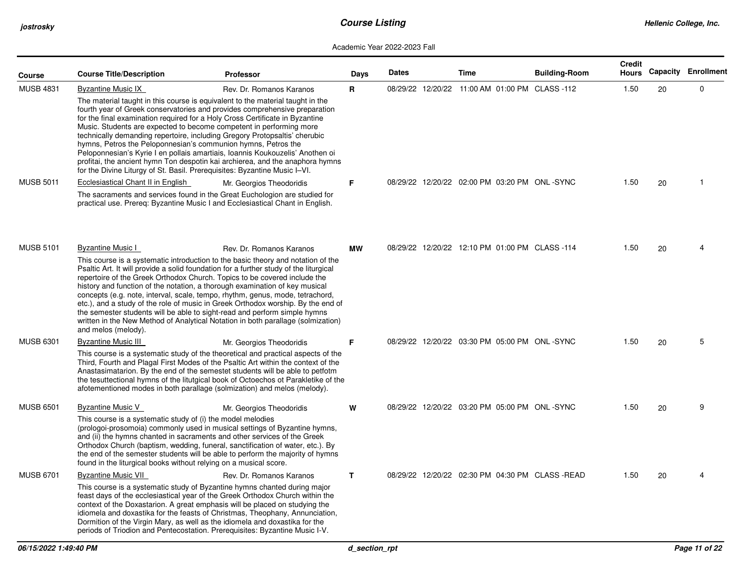| Course           | <b>Course Title/Description</b>                                                                                                                                                                                                                                                                                                                                                                                                                                                                                                                                                                                                                                                                                                                                            | <b>Professor</b>                                                                                                                                                                                                                                                                                                                                                                                                                                                                                                                                                                                                                                                                                        | Days      | <b>Dates</b> | Time                                            | <b>Building-Room</b> | <b>Credit</b><br>Hours |    | <b>Capacity Enrollment</b> |
|------------------|----------------------------------------------------------------------------------------------------------------------------------------------------------------------------------------------------------------------------------------------------------------------------------------------------------------------------------------------------------------------------------------------------------------------------------------------------------------------------------------------------------------------------------------------------------------------------------------------------------------------------------------------------------------------------------------------------------------------------------------------------------------------------|---------------------------------------------------------------------------------------------------------------------------------------------------------------------------------------------------------------------------------------------------------------------------------------------------------------------------------------------------------------------------------------------------------------------------------------------------------------------------------------------------------------------------------------------------------------------------------------------------------------------------------------------------------------------------------------------------------|-----------|--------------|-------------------------------------------------|----------------------|------------------------|----|----------------------------|
| <b>MUSB 4831</b> | <b>Byzantine Music IX</b><br>Rev. Dr. Romanos Karanos<br>The material taught in this course is equivalent to the material taught in the<br>fourth year of Greek conservatories and provides comprehensive preparation<br>for the final examination required for a Holy Cross Certificate in Byzantine<br>Music. Students are expected to become competent in performing more<br>technically demanding repertoire, including Gregory Protopsaltis' cherubic<br>hymns, Petros the Peloponnesian's communion hymns, Petros the<br>Peloponnesian's Kyrie I en pollais amartiais, Ioannis Koukouzelis' Anothen oi<br>profitai, the ancient hymn Ton despotin kai archierea, and the anaphora hymns<br>for the Divine Liturgy of St. Basil. Prerequisites: Byzantine Music I-VI. |                                                                                                                                                                                                                                                                                                                                                                                                                                                                                                                                                                                                                                                                                                         | R         |              | 08/29/22 12/20/22 11:00 AM 01:00 PM CLASS -112  |                      | 1.50                   | 20 | $\mathbf 0$                |
| <b>MUSB 5011</b> | Ecclesiastical Chant II in English                                                                                                                                                                                                                                                                                                                                                                                                                                                                                                                                                                                                                                                                                                                                         | Mr. Georgios Theodoridis<br>The sacraments and services found in the Great Euchologion are studied for<br>practical use. Prereq: Byzantine Music I and Ecclesiastical Chant in English.                                                                                                                                                                                                                                                                                                                                                                                                                                                                                                                 | F         |              | 08/29/22 12/20/22 02:00 PM 03:20 PM ONL-SYNC    |                      | 1.50                   | 20 | -1                         |
| <b>MUSB 5101</b> | <b>Byzantine Music I</b><br>and melos (melody).                                                                                                                                                                                                                                                                                                                                                                                                                                                                                                                                                                                                                                                                                                                            | Rev. Dr. Romanos Karanos<br>This course is a systematic introduction to the basic theory and notation of the<br>Psaltic Art. It will provide a solid foundation for a further study of the liturgical<br>repertoire of the Greek Orthodox Church. Topics to be covered include the<br>history and function of the notation, a thorough examination of key musical<br>concepts (e.g. note, interval, scale, tempo, rhythm, genus, mode, tetrachord,<br>etc.), and a study of the role of music in Greek Orthodox worship. By the end of<br>the semester students will be able to sight-read and perform simple hymns<br>written in the New Method of Analytical Notation in both parallage (solmization) | <b>MW</b> |              | 08/29/22 12/20/22 12:10 PM 01:00 PM CLASS -114  |                      | 1.50                   | 20 | 4                          |
| <b>MUSB 6301</b> | <b>Byzantine Music III</b>                                                                                                                                                                                                                                                                                                                                                                                                                                                                                                                                                                                                                                                                                                                                                 | Mr. Georgios Theodoridis<br>This course is a systematic study of the theoretical and practical aspects of the<br>Third, Fourth and Plagal First Modes of the Psaltic Art within the context of the<br>Anastasimatarion. By the end of the semestet students will be able to petfotm<br>the tesuttectional hymns of the litutgical book of Octoechos ot Parakletike of the<br>afotementioned modes in both parallage (solmization) and melos (melody).                                                                                                                                                                                                                                                   | F         |              | 08/29/22 12/20/22 03:30 PM 05:00 PM ONL-SYNC    |                      | 1.50                   | 20 | 5                          |
| <b>MUSB 6501</b> | <b>Byzantine Music V</b><br>This course is a systematic study of (i) the model melodies<br>found in the liturgical books without relying on a musical score.                                                                                                                                                                                                                                                                                                                                                                                                                                                                                                                                                                                                               | Mr. Georgios Theodoridis<br>(prologoi-prosomoia) commonly used in musical settings of Byzantine hymns,<br>and (ii) the hymns chanted in sacraments and other services of the Greek<br>Orthodox Church (baptism, wedding, funeral, sanctification of water, etc.). By<br>the end of the semester students will be able to perform the majority of hymns                                                                                                                                                                                                                                                                                                                                                  | W         |              | 08/29/22 12/20/22 03:20 PM 05:00 PM ONL-SYNC    |                      | 1.50                   | 20 | 9                          |
| <b>MUSB 6701</b> | <b>Byzantine Music VII</b>                                                                                                                                                                                                                                                                                                                                                                                                                                                                                                                                                                                                                                                                                                                                                 | Rev. Dr. Romanos Karanos<br>This course is a systematic study of Byzantine hymns chanted during major<br>feast days of the ecclesiastical year of the Greek Orthodox Church within the<br>context of the Doxastarion. A great emphasis will be placed on studying the<br>idiomela and doxastika for the feasts of Christmas, Theophany, Annunciation,<br>Dormition of the Virgin Mary, as well as the idiomela and doxastika for the<br>periods of Triodion and Pentecostation. Prerequisites: Byzantine Music I-V.                                                                                                                                                                                     | T.        |              | 08/29/22 12/20/22 02:30 PM 04:30 PM CLASS -READ |                      | 1.50                   | 20 |                            |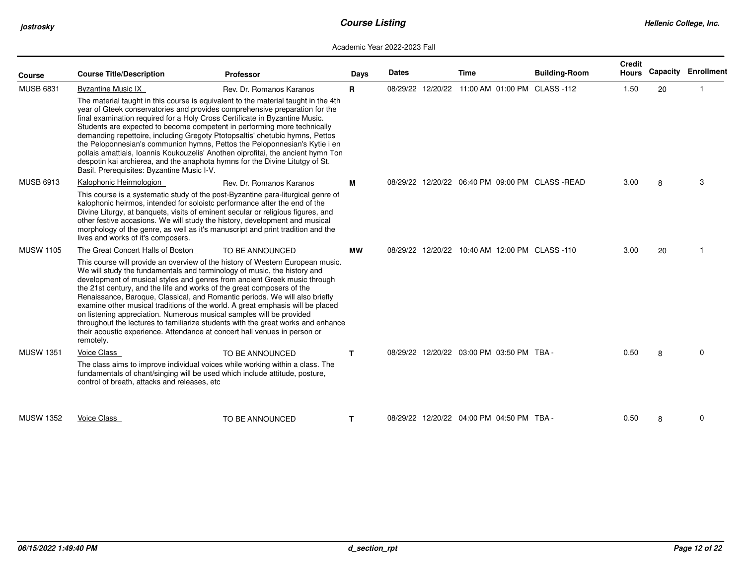| Course           | <b>Course Title/Description</b>               | <b>Professor</b>                                                                                                                                                                                                                                                                                                                                                                                                                                                                                                                                                                                                                                                                                                            | Days      | <b>Dates</b> | Time                                            | <b>Building-Room</b> | <b>Credit</b><br>Hours |    | <b>Capacity Enrollment</b> |
|------------------|-----------------------------------------------|-----------------------------------------------------------------------------------------------------------------------------------------------------------------------------------------------------------------------------------------------------------------------------------------------------------------------------------------------------------------------------------------------------------------------------------------------------------------------------------------------------------------------------------------------------------------------------------------------------------------------------------------------------------------------------------------------------------------------------|-----------|--------------|-------------------------------------------------|----------------------|------------------------|----|----------------------------|
| <b>MUSB 6831</b> | <b>Byzantine Music IX</b>                     | Rev. Dr. Romanos Karanos                                                                                                                                                                                                                                                                                                                                                                                                                                                                                                                                                                                                                                                                                                    | R.        |              | 08/29/22 12/20/22 11:00 AM 01:00 PM CLASS -112  |                      | 1.50                   | 20 |                            |
|                  | Basil. Prerequisites: Byzantine Music I-V.    | The material taught in this course is equivalent to the material taught in the 4th<br>year of Gteek conservatories and provides comprehensive preparation for the<br>final examination required for a Holy Cross Certificate in Byzantine Music.<br>Students are expected to become competent in performing more technically<br>demanding repettoire, including Gregoty Ptotopsaltis' chetubic hymns, Pettos<br>the Peloponnesian's communion hymns, Pettos the Peloponnesian's Kytie i en<br>pollais amattiais, Ioannis Koukouzelis' Anothen oiprofitai, the ancient hymn Ton<br>despotin kai archierea, and the anaphota hymns for the Divine Litutgy of St.                                                              |           |              |                                                 |                      |                        |    |                            |
| <b>MUSB 6913</b> | Kalophonic Heirmologion                       | Rev. Dr. Romanos Karanos                                                                                                                                                                                                                                                                                                                                                                                                                                                                                                                                                                                                                                                                                                    | м         |              | 08/29/22 12/20/22 06:40 PM 09:00 PM CLASS -READ |                      | 3.00                   | 8  | 3                          |
|                  | lives and works of it's composers.            | This course is a systematic study of the post-Byzantine para-liturgical genre of<br>kalophonic heirmos, intended for soloistc performance after the end of the<br>Divine Liturgy, at banquets, visits of eminent secular or religious figures, and<br>other festive accasions. We will study the history, development and musical<br>morphology of the genre, as well as it's manuscript and print tradition and the                                                                                                                                                                                                                                                                                                        |           |              |                                                 |                      |                        |    |                            |
| <b>MUSW 1105</b> | The Great Concert Halls of Boston             | TO BE ANNOUNCED                                                                                                                                                                                                                                                                                                                                                                                                                                                                                                                                                                                                                                                                                                             | <b>MW</b> |              | 08/29/22 12/20/22 10:40 AM 12:00 PM CLASS -110  |                      | 3.00                   | 20 |                            |
|                  | remotely.                                     | This course will provide an overview of the history of Western European music.<br>We will study the fundamentals and terminology of music, the history and<br>development of musical styles and genres from ancient Greek music through<br>the 21st century, and the life and works of the great composers of the<br>Renaissance, Baroque, Classical, and Romantic periods. We will also briefly<br>examine other musical traditions of the world. A great emphasis will be placed<br>on listening appreciation. Numerous musical samples will be provided<br>throughout the lectures to familiarize students with the great works and enhance<br>their acoustic experience. Attendance at concert hall venues in person or |           |              |                                                 |                      |                        |    |                            |
| <b>MUSW 1351</b> | <b>Voice Class</b>                            | TO BE ANNOUNCED                                                                                                                                                                                                                                                                                                                                                                                                                                                                                                                                                                                                                                                                                                             | T.        |              | 08/29/22 12/20/22 03:00 PM 03:50 PM TBA -       |                      | 0.50                   | 8  | $\Omega$                   |
|                  | control of breath, attacks and releases, etc. | The class aims to improve individual voices while working within a class. The<br>fundamentals of chant/singing will be used which include attitude, posture,                                                                                                                                                                                                                                                                                                                                                                                                                                                                                                                                                                |           |              |                                                 |                      |                        |    |                            |
| <b>MUSW 1352</b> | Voice Class                                   | TO BE ANNOUNCED                                                                                                                                                                                                                                                                                                                                                                                                                                                                                                                                                                                                                                                                                                             | T.        |              | 08/29/22 12/20/22 04:00 PM 04:50 PM TBA -       |                      | 0.50                   | 8  | $\mathbf 0$                |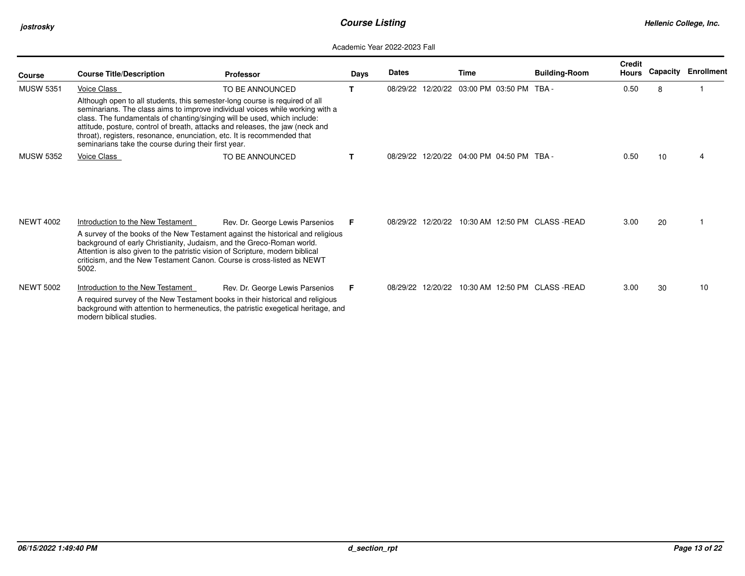| <b>Course</b>    | <b>Course Title/Description</b>                                                                                                                                                                                                                                                                           | <b>Professor</b>                                                                                                                                                                                       | Days | <b>Dates</b> |                   | Time                                      | <b>Building-Room</b>           | <b>Credit</b><br>Hours | Capacity | <b>Enrollment</b> |
|------------------|-----------------------------------------------------------------------------------------------------------------------------------------------------------------------------------------------------------------------------------------------------------------------------------------------------------|--------------------------------------------------------------------------------------------------------------------------------------------------------------------------------------------------------|------|--------------|-------------------|-------------------------------------------|--------------------------------|------------------------|----------|-------------------|
| <b>MUSW 5351</b> | Voice Class<br>Although open to all students, this semester-long course is required of all<br>class. The fundamentals of chanting/singing will be used, which include:<br>throat), registers, resonance, enunciation, etc. It is recommended that<br>seminarians take the course during their first year. | TO BE ANNOUNCED<br>seminarians. The class aims to improve individual voices while working with a<br>attitude, posture, control of breath, attacks and releases, the jaw (neck and                      | т    | 08/29/22     | 12/20/22          | 03:00 PM 03:50 PM                         | TRA -                          | 0.50                   | 8        |                   |
| <b>MUSW 5352</b> | Voice Class                                                                                                                                                                                                                                                                                               | TO BE ANNOUNCED                                                                                                                                                                                        | т    |              |                   | 08/29/22 12/20/22 04:00 PM 04:50 PM TBA - |                                | 0.50                   | 10       |                   |
| <b>NEWT 4002</b> | Introduction to the New Testament<br>background of early Christianity, Judaism, and the Greco-Roman world.<br>Attention is also given to the patristic vision of Scripture, modern biblical<br>5002.                                                                                                      | Rev. Dr. George Lewis Parsenios<br>A survey of the books of the New Testament against the historical and religious<br>criticism, and the New Testament Canon. Course is cross-listed as NEWT           | F.   |              | 08/29/22 12/20/22 |                                           | 10:30 AM 12:50 PM CLASS - READ | 3.00                   | 20       |                   |
| <b>NEWT 5002</b> | Introduction to the New Testament<br>modern biblical studies.                                                                                                                                                                                                                                             | Rev. Dr. George Lewis Parsenios<br>A required survey of the New Testament books in their historical and religious<br>background with attention to hermeneutics, the patristic exegetical heritage, and | F.   |              | 08/29/22 12/20/22 |                                           | 10:30 AM 12:50 PM CLASS - READ | 3.00                   | 30       | 10                |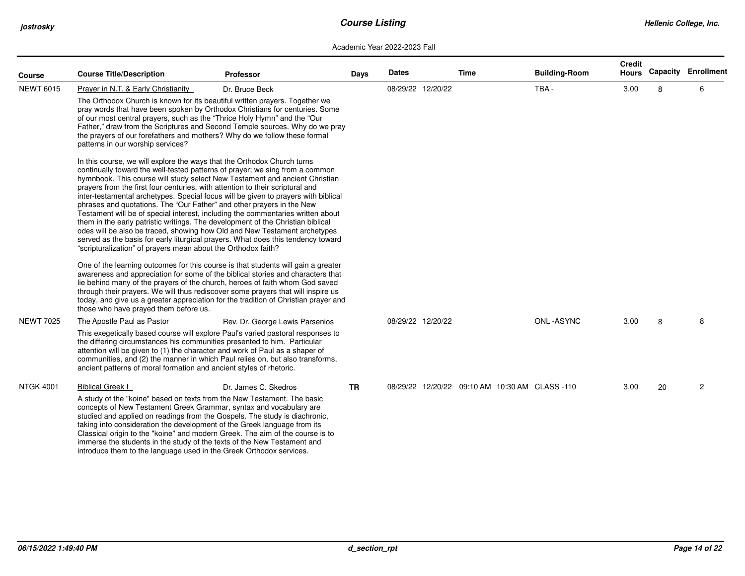| <b>Course</b>    | <b>Course Title/Description</b>                                                                                                                                                                                                                                                                                                                                                                                                                                                                                                                                                                                                                                                                                                                                                                                                                                                                                                                                                                                                                                        | <b>Professor</b>                                                                                                                                                                                                                                        | <b>Days</b> | <b>Dates</b> |                   | Time | <b>Building-Room</b>                           | <b>Credit</b><br>Hours |    | <b>Capacity Enrollment</b> |
|------------------|------------------------------------------------------------------------------------------------------------------------------------------------------------------------------------------------------------------------------------------------------------------------------------------------------------------------------------------------------------------------------------------------------------------------------------------------------------------------------------------------------------------------------------------------------------------------------------------------------------------------------------------------------------------------------------------------------------------------------------------------------------------------------------------------------------------------------------------------------------------------------------------------------------------------------------------------------------------------------------------------------------------------------------------------------------------------|---------------------------------------------------------------------------------------------------------------------------------------------------------------------------------------------------------------------------------------------------------|-------------|--------------|-------------------|------|------------------------------------------------|------------------------|----|----------------------------|
| <b>NEWT 6015</b> | Prayer in N.T. & Early Christianity                                                                                                                                                                                                                                                                                                                                                                                                                                                                                                                                                                                                                                                                                                                                                                                                                                                                                                                                                                                                                                    | Dr. Bruce Beck                                                                                                                                                                                                                                          |             |              | 08/29/22 12/20/22 |      | TBA-                                           | 3.00                   | 8  | 6                          |
|                  | The Orthodox Church is known for its beautiful written prayers. Together we<br>of our most central prayers, such as the "Thrice Holy Hymn" and the "Our<br>the prayers of our forefathers and mothers? Why do we follow these formal<br>patterns in our worship services?                                                                                                                                                                                                                                                                                                                                                                                                                                                                                                                                                                                                                                                                                                                                                                                              | pray words that have been spoken by Orthodox Christians for centuries. Some<br>Father," draw from the Scriptures and Second Temple sources. Why do we pray                                                                                              |             |              |                   |      |                                                |                        |    |                            |
|                  | In this course, we will explore the ways that the Orthodox Church turns<br>continually toward the well-tested patterns of prayer; we sing from a common<br>hymnbook. This course will study select New Testament and ancient Christian<br>prayers from the first four centuries, with attention to their scriptural and<br>inter-testamental archetypes. Special focus will be given to prayers with biblical<br>phrases and quotations. The "Our Father" and other prayers in the New<br>Testament will be of special interest, including the commentaries written about<br>them in the early patristic writings. The development of the Christian biblical<br>odes will be also be traced, showing how Old and New Testament archetypes<br>served as the basis for early liturgical prayers. What does this tendency toward<br>"scripturalization" of prayers mean about the Orthodox faith?<br>One of the learning outcomes for this course is that students will gain a greater<br>awareness and appreciation for some of the biblical stories and characters that |                                                                                                                                                                                                                                                         |             |              |                   |      |                                                |                        |    |                            |
|                  | those who have prayed them before us.                                                                                                                                                                                                                                                                                                                                                                                                                                                                                                                                                                                                                                                                                                                                                                                                                                                                                                                                                                                                                                  | lie behind many of the prayers of the church, heroes of faith whom God saved<br>through their prayers. We will thus rediscover some prayers that will inspire us<br>today, and give us a greater appreciation for the tradition of Christian prayer and |             |              |                   |      |                                                |                        |    |                            |
| <b>NEWT 7025</b> | The Apostle Paul as Pastor                                                                                                                                                                                                                                                                                                                                                                                                                                                                                                                                                                                                                                                                                                                                                                                                                                                                                                                                                                                                                                             | Rev. Dr. George Lewis Parsenios                                                                                                                                                                                                                         |             |              | 08/29/22 12/20/22 |      | ONL-ASYNC                                      | 3.00                   | 8  | 8                          |
|                  | the differing circumstances his communities presented to him. Particular<br>attention will be given to (1) the character and work of Paul as a shaper of<br>ancient patterns of moral formation and ancient styles of rhetoric.                                                                                                                                                                                                                                                                                                                                                                                                                                                                                                                                                                                                                                                                                                                                                                                                                                        | This exegetically based course will explore Paul's varied pastoral responses to<br>communities, and (2) the manner in which Paul relies on, but also transforms,                                                                                        |             |              |                   |      |                                                |                        |    |                            |
| <b>NTGK 4001</b> | <b>Biblical Greek I</b><br>A study of the "koine" based on texts from the New Testament. The basic<br>concepts of New Testament Greek Grammar, syntax and vocabulary are<br>studied and applied on readings from the Gospels. The study is diachronic,<br>taking into consideration the development of the Greek language from its<br>immerse the students in the study of the texts of the New Testament and<br>introduce them to the language used in the Greek Orthodox services.                                                                                                                                                                                                                                                                                                                                                                                                                                                                                                                                                                                   | Dr. James C. Skedros<br>Classical origin to the "koine" and modern Greek. The aim of the course is to                                                                                                                                                   | <b>TR</b>   |              |                   |      | 08/29/22 12/20/22 09:10 AM 10:30 AM CLASS -110 | 3.00                   | 20 | $\overline{c}$             |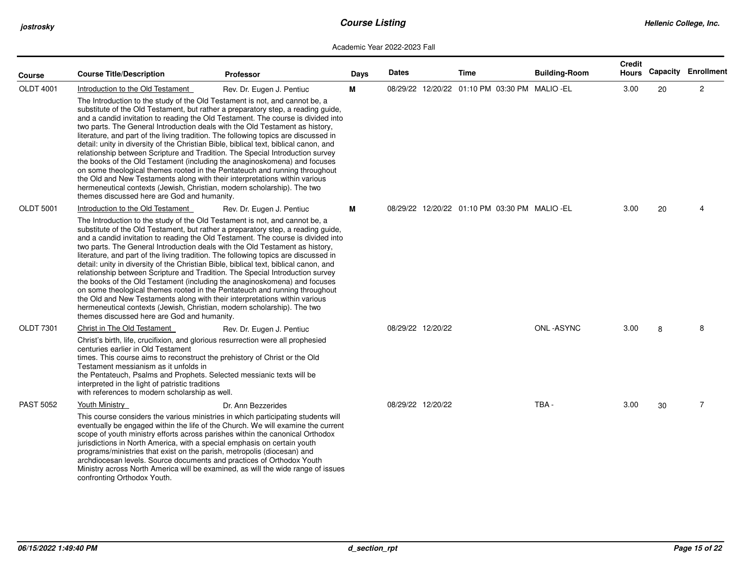| Course           | <b>Course Title/Description</b>                                                                                                                                                                                                                                                                                                                                                                                                                                                                                                                                                                                                                                                                                                                                                                                                                                                                                                                                                            | <b>Professor</b>                                                                                                                                                                                                                                                                                                                                                                                                                                                                                                                     | Days | <b>Dates</b> |                   | Time | <b>Building-Room</b>                          | <b>Credit</b><br>Hours |    | <b>Capacity Enrollment</b> |
|------------------|--------------------------------------------------------------------------------------------------------------------------------------------------------------------------------------------------------------------------------------------------------------------------------------------------------------------------------------------------------------------------------------------------------------------------------------------------------------------------------------------------------------------------------------------------------------------------------------------------------------------------------------------------------------------------------------------------------------------------------------------------------------------------------------------------------------------------------------------------------------------------------------------------------------------------------------------------------------------------------------------|--------------------------------------------------------------------------------------------------------------------------------------------------------------------------------------------------------------------------------------------------------------------------------------------------------------------------------------------------------------------------------------------------------------------------------------------------------------------------------------------------------------------------------------|------|--------------|-------------------|------|-----------------------------------------------|------------------------|----|----------------------------|
| <b>OLDT 4001</b> | Introduction to the Old Testament<br>The Introduction to the study of the Old Testament is not, and cannot be, a<br>two parts. The General Introduction deals with the Old Testament as history,<br>detail: unity in diversity of the Christian Bible, biblical text, biblical canon, and<br>the Old and New Testaments along with their interpretations within various<br>hermeneutical contexts (Jewish, Christian, modern scholarship). The two<br>themes discussed here are God and humanity.                                                                                                                                                                                                                                                                                                                                                                                                                                                                                          | Rev. Dr. Eugen J. Pentiuc<br>substitute of the Old Testament, but rather a preparatory step, a reading guide,<br>and a candid invitation to reading the Old Testament. The course is divided into<br>literature, and part of the living tradition. The following topics are discussed in<br>relationship between Scripture and Tradition. The Special Introduction survey<br>the books of the Old Testament (including the anaginoskomena) and focuses<br>on some theological themes rooted in the Pentateuch and running throughout | м    |              |                   |      | 08/29/22 12/20/22 01:10 PM 03:30 PM MALIO -EL | 3.00                   | 20 | $\overline{2}$             |
| <b>OLDT 5001</b> | Introduction to the Old Testament<br>Rev. Dr. Eugen J. Pentiuc<br>The Introduction to the study of the Old Testament is not, and cannot be, a<br>substitute of the Old Testament, but rather a preparatory step, a reading guide,<br>and a candid invitation to reading the Old Testament. The course is divided into<br>two parts. The General Introduction deals with the Old Testament as history,<br>literature, and part of the living tradition. The following topics are discussed in<br>detail: unity in diversity of the Christian Bible, biblical text, biblical canon, and<br>relationship between Scripture and Tradition. The Special Introduction survey<br>the books of the Old Testament (including the anaginoskomena) and focuses<br>on some theological themes rooted in the Pentateuch and running throughout<br>the Old and New Testaments along with their interpretations within various<br>hermeneutical contexts (Jewish, Christian, modern scholarship). The two |                                                                                                                                                                                                                                                                                                                                                                                                                                                                                                                                      | м    |              |                   |      | 08/29/22 12/20/22 01:10 PM 03:30 PM MALIO -EL | 3.00                   | 20 |                            |
| <b>OLDT 7301</b> | themes discussed here are God and humanity.<br>Christ in The Old Testament<br>Rev. Dr. Eugen J. Pentiuc<br>Christ's birth, life, crucifixion, and glorious resurrection were all prophesied<br>centuries earlier in Old Testament<br>times. This course aims to reconstruct the prehistory of Christ or the Old<br>Testament messianism as it unfolds in<br>the Pentateuch, Psalms and Prophets. Selected messianic texts will be<br>interpreted in the light of patristic traditions<br>with references to modern scholarship as well.                                                                                                                                                                                                                                                                                                                                                                                                                                                    |                                                                                                                                                                                                                                                                                                                                                                                                                                                                                                                                      |      |              | 08/29/22 12/20/22 |      | ONL-ASYNC                                     | 3.00                   | 8  | 8                          |
| <b>PAST 5052</b> | Youth Ministry<br>scope of youth ministry efforts across parishes within the canonical Orthodox<br>jurisdictions in North America, with a special emphasis on certain youth<br>programs/ministries that exist on the parish, metropolis (diocesan) and<br>archdiocesan levels. Source documents and practices of Orthodox Youth<br>confronting Orthodox Youth.                                                                                                                                                                                                                                                                                                                                                                                                                                                                                                                                                                                                                             | Dr. Ann Bezzerides<br>This course considers the various ministries in which participating students will<br>eventually be engaged within the life of the Church. We will examine the current<br>Ministry across North America will be examined, as will the wide range of issues                                                                                                                                                                                                                                                      |      |              | 08/29/22 12/20/22 |      | TBA-                                          | 3.00                   | 30 | $\overline{7}$             |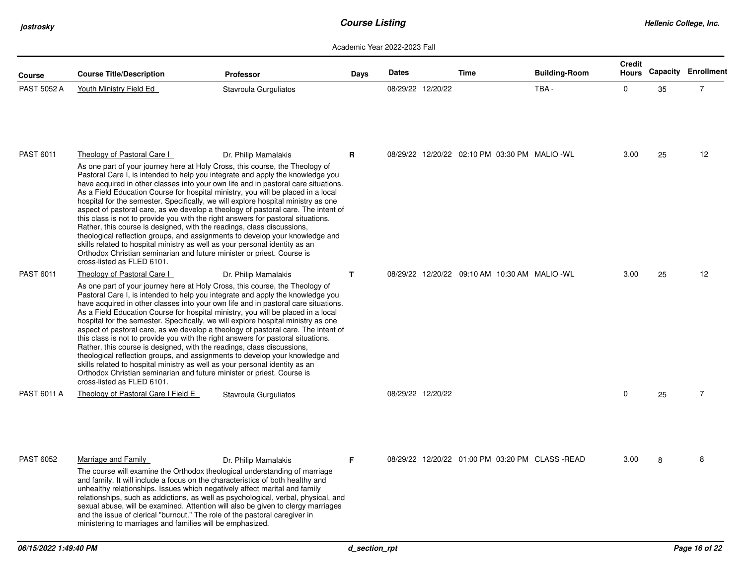*jostrosky*

| <b>Course</b>    | <b>Course Title/Description</b>                                                                                                                                                                                                                                                                                                                                                                                                                                                                                                                                                                                                                                                                                                                                                                                                                                                                                                                                                        | <b>Professor</b>      | Days         | <b>Dates</b>      | Time                                           | <b>Building-Room</b> | <b>Credit</b> |    | Hours Capacity Enrollment |
|------------------|----------------------------------------------------------------------------------------------------------------------------------------------------------------------------------------------------------------------------------------------------------------------------------------------------------------------------------------------------------------------------------------------------------------------------------------------------------------------------------------------------------------------------------------------------------------------------------------------------------------------------------------------------------------------------------------------------------------------------------------------------------------------------------------------------------------------------------------------------------------------------------------------------------------------------------------------------------------------------------------|-----------------------|--------------|-------------------|------------------------------------------------|----------------------|---------------|----|---------------------------|
| PAST 5052 A      | Youth Ministry Field Ed                                                                                                                                                                                                                                                                                                                                                                                                                                                                                                                                                                                                                                                                                                                                                                                                                                                                                                                                                                | Stavroula Gurguliatos |              | 08/29/22 12/20/22 |                                                | TBA-                 | 0             | 35 | $\overline{7}$            |
| <b>PAST 6011</b> | Theology of Pastoral Care I<br>As one part of your journey here at Holy Cross, this course, the Theology of<br>Pastoral Care I, is intended to help you integrate and apply the knowledge you<br>have acquired in other classes into your own life and in pastoral care situations.<br>As a Field Education Course for hospital ministry, you will be placed in a local<br>hospital for the semester. Specifically, we will explore hospital ministry as one<br>aspect of pastoral care, as we develop a theology of pastoral care. The intent of<br>this class is not to provide you with the right answers for pastoral situations.<br>Rather, this course is designed, with the readings, class discussions,<br>theological reflection groups, and assignments to develop your knowledge and<br>skills related to hospital ministry as well as your personal identity as an<br>Orthodox Christian seminarian and future minister or priest. Course is<br>cross-listed as FLED 6101. | Dr. Philip Mamalakis  | R            |                   | 08/29/22 12/20/22 02:10 PM 03:30 PM MALIO -WL  |                      | 3.00          | 25 | 12                        |
| PAST 6011        | Theology of Pastoral Care I<br>As one part of your journey here at Holy Cross, this course, the Theology of<br>Pastoral Care I, is intended to help you integrate and apply the knowledge you<br>have acquired in other classes into your own life and in pastoral care situations.<br>As a Field Education Course for hospital ministry, you will be placed in a local<br>hospital for the semester. Specifically, we will explore hospital ministry as one<br>aspect of pastoral care, as we develop a theology of pastoral care. The intent of<br>this class is not to provide you with the right answers for pastoral situations.<br>Rather, this course is designed, with the readings, class discussions,<br>theological reflection groups, and assignments to develop your knowledge and<br>skills related to hospital ministry as well as your personal identity as an<br>Orthodox Christian seminarian and future minister or priest. Course is<br>cross-listed as FLED 6101. | Dr. Philip Mamalakis  | $\mathbf{T}$ |                   | 08/29/22 12/20/22 09:10 AM 10:30 AM MALIO - WL |                      | 3.00          | 25 | 12                        |
| PAST 6011 A      | Theology of Pastoral Care I Field E                                                                                                                                                                                                                                                                                                                                                                                                                                                                                                                                                                                                                                                                                                                                                                                                                                                                                                                                                    | Stavroula Gurguliatos |              | 08/29/22 12/20/22 |                                                |                      | 0             | 25 | $\overline{7}$            |
| <b>PAST 6052</b> | Marriage and Family<br>The course will examine the Orthodox theological understanding of marriage<br>and family. It will include a focus on the characteristics of both healthy and<br>unhealthy relationships. Issues which negatively affect marital and family<br>relationships, such as addictions, as well as psychological, verbal, physical, and<br>sexual abuse, will be examined. Attention will also be given to clergy marriages<br>and the issue of clerical "burnout." The role of the pastoral caregiver in<br>ministering to marriages and families will be emphasized.                                                                                                                                                                                                                                                                                                                                                                                                 | Dr. Philip Mamalakis  | F            |                   | 08/29/22 12/20/22 01:00 PM 03:20 PM CLASS-READ |                      | 3.00          | 8  | 8                         |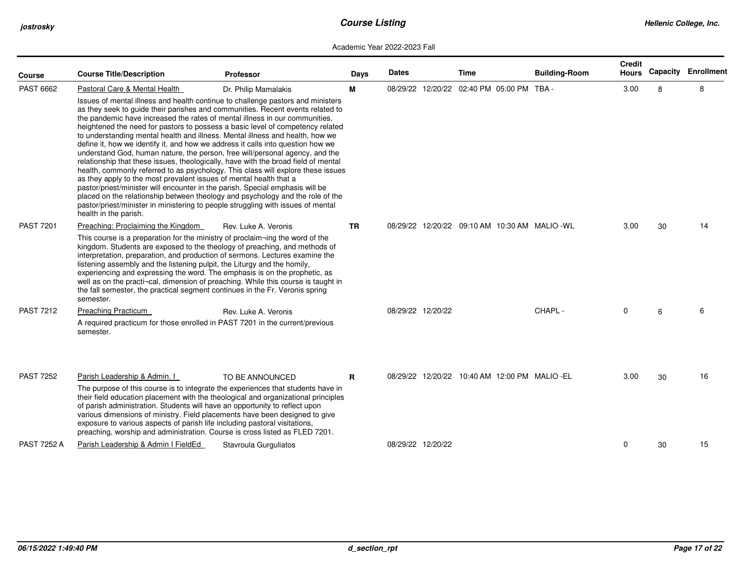| <b>Course</b>      | <b>Course Title/Description</b>                                                                                                                                                                                                                                                                                                                                                                                                                                                                                                                                                                                                                                                           | <b>Professor</b>                                                                                                                                                                                                                                                                                                                                                                                                          | Days         | <b>Dates</b> |                   | Time                                      | <b>Building-Room</b>                           | Credit<br><b>Hours</b> |    | <b>Capacity Enrollment</b> |
|--------------------|-------------------------------------------------------------------------------------------------------------------------------------------------------------------------------------------------------------------------------------------------------------------------------------------------------------------------------------------------------------------------------------------------------------------------------------------------------------------------------------------------------------------------------------------------------------------------------------------------------------------------------------------------------------------------------------------|---------------------------------------------------------------------------------------------------------------------------------------------------------------------------------------------------------------------------------------------------------------------------------------------------------------------------------------------------------------------------------------------------------------------------|--------------|--------------|-------------------|-------------------------------------------|------------------------------------------------|------------------------|----|----------------------------|
| <b>PAST 6662</b>   | Pastoral Care & Mental Health                                                                                                                                                                                                                                                                                                                                                                                                                                                                                                                                                                                                                                                             | Dr. Philip Mamalakis                                                                                                                                                                                                                                                                                                                                                                                                      | М            |              |                   | 08/29/22 12/20/22 02:40 PM 05:00 PM TBA - |                                                | 3.00                   | 8  | 8                          |
|                    | the pandemic have increased the rates of mental illness in our communities,<br>to understanding mental health and illness. Mental illness and health, how we<br>define it, how we identify it, and how we address it calls into question how we<br>understand God, human nature, the person, free will/personal agency, and the<br>relationship that these issues, theologically, have with the broad field of mental<br>as they apply to the most prevalent issues of mental health that a<br>pastor/priest/minister will encounter in the parish. Special emphasis will be<br>pastor/priest/minister in ministering to people struggling with issues of mental<br>health in the parish. | Issues of mental illness and health continue to challenge pastors and ministers<br>as they seek to guide their parishes and communities. Recent events related to<br>heightened the need for pastors to possess a basic level of competency related<br>health, commonly referred to as psychology. This class will explore these issues<br>placed on the relationship between theology and psychology and the role of the |              |              |                   |                                           |                                                |                        |    |                            |
| <b>PAST 7201</b>   | Preaching: Proclaiming the Kingdom                                                                                                                                                                                                                                                                                                                                                                                                                                                                                                                                                                                                                                                        | Rev. Luke A. Veronis                                                                                                                                                                                                                                                                                                                                                                                                      | <b>TR</b>    |              |                   |                                           | 08/29/22 12/20/22 09:10 AM 10:30 AM MALIO - WL | 3.00                   | 30 | 14                         |
|                    | This course is a preparation for the ministry of proclaim-ing the word of the<br>kingdom. Students are exposed to the theology of preaching, and methods of<br>interpretation, preparation, and production of sermons. Lectures examine the<br>listening assembly and the listening pulpit, the Liturgy and the homily,<br>experiencing and expressing the word. The emphasis is on the prophetic, as<br>the fall semester, the practical segment continues in the Fr. Veronis spring<br>semester.                                                                                                                                                                                        | well as on the practi-cal, dimension of preaching. While this course is taught in                                                                                                                                                                                                                                                                                                                                         |              |              |                   |                                           |                                                |                        |    |                            |
| <b>PAST 7212</b>   | Preaching Practicum                                                                                                                                                                                                                                                                                                                                                                                                                                                                                                                                                                                                                                                                       | Rev. Luke A. Veronis                                                                                                                                                                                                                                                                                                                                                                                                      |              |              | 08/29/22 12/20/22 |                                           | CHAPL -                                        | 0                      | 6  | 6                          |
|                    | A required practicum for those enrolled in PAST 7201 in the current/previous<br>semester.                                                                                                                                                                                                                                                                                                                                                                                                                                                                                                                                                                                                 |                                                                                                                                                                                                                                                                                                                                                                                                                           |              |              |                   |                                           |                                                |                        |    |                            |
| <b>PAST 7252</b>   | Parish Leadership & Admin. I<br>of parish administration. Students will have an opportunity to reflect upon<br>various dimensions of ministry. Field placements have been designed to give<br>exposure to various aspects of parish life including pastoral visitations,<br>preaching, worship and administration. Course is cross listed as FLED 7201.                                                                                                                                                                                                                                                                                                                                   | TO BE ANNOUNCED<br>The purpose of this course is to integrate the experiences that students have in<br>their field education placement with the theological and organizational principles                                                                                                                                                                                                                                 | $\mathbf{R}$ |              |                   |                                           | 08/29/22 12/20/22 10:40 AM 12:00 PM MALIO -EL  | 3.00                   | 30 | 16                         |
| <b>PAST 7252 A</b> | Parish Leadership & Admin I FieldEd                                                                                                                                                                                                                                                                                                                                                                                                                                                                                                                                                                                                                                                       | Stavroula Gurguliatos                                                                                                                                                                                                                                                                                                                                                                                                     |              |              | 08/29/22 12/20/22 |                                           |                                                | 0                      | 30 | 15                         |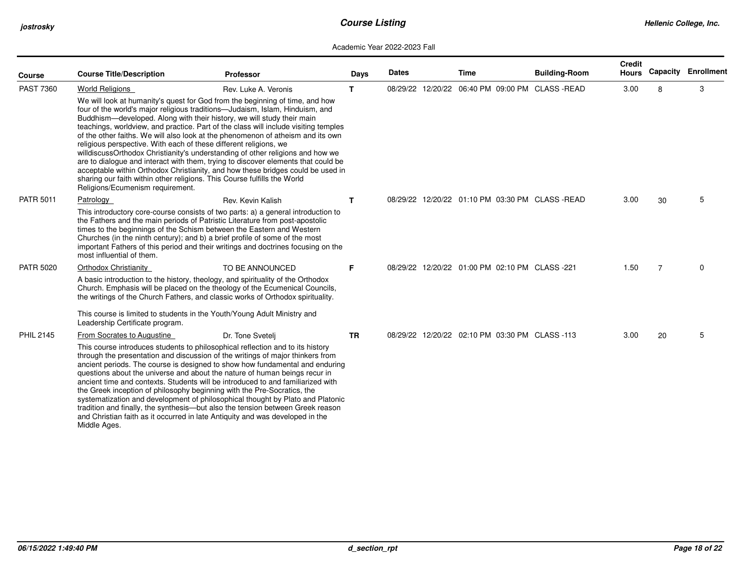| <b>Course</b>    | <b>Course Title/Description</b>                                                                                                                                                   | <b>Professor</b>                                                                                                                                                                                                                                                                                                                                                                                                                                                                                                                                                                                                                                                                                                                                  | Days      | <b>Dates</b> | <b>Time</b> | <b>Building-Room</b>                             | <b>Credit</b><br><b>Hours</b> |                | <b>Capacity Enrollment</b> |
|------------------|-----------------------------------------------------------------------------------------------------------------------------------------------------------------------------------|---------------------------------------------------------------------------------------------------------------------------------------------------------------------------------------------------------------------------------------------------------------------------------------------------------------------------------------------------------------------------------------------------------------------------------------------------------------------------------------------------------------------------------------------------------------------------------------------------------------------------------------------------------------------------------------------------------------------------------------------------|-----------|--------------|-------------|--------------------------------------------------|-------------------------------|----------------|----------------------------|
| <b>PAST 7360</b> | <b>World Religions</b>                                                                                                                                                            | Rev. Luke A. Veronis                                                                                                                                                                                                                                                                                                                                                                                                                                                                                                                                                                                                                                                                                                                              | T.        |              |             | 08/29/22 12/20/22 06:40 PM 09:00 PM CLASS -READ  | 3.00                          | 8              | 3                          |
|                  | religious perspective. With each of these different religions, we<br>sharing our faith within other religions. This Course fulfills the World<br>Religions/Ecumenism requirement. | We will look at humanity's quest for God from the beginning of time, and how<br>four of the world's major religious traditions-Judaism, Islam, Hinduism, and<br>Buddhism—developed. Along with their history, we will study their main<br>teachings, worldview, and practice. Part of the class will include visiting temples<br>of the other faiths. We will also look at the phenomenon of atheism and its own<br>willdiscussOrthodox Christianity's understanding of other religions and how we<br>are to dialogue and interact with them, trying to discover elements that could be<br>acceptable within Orthodox Christianity, and how these bridges could be used in                                                                        |           |              |             |                                                  |                               |                |                            |
| <b>PATR 5011</b> | Patrology                                                                                                                                                                         | Rev. Kevin Kalish                                                                                                                                                                                                                                                                                                                                                                                                                                                                                                                                                                                                                                                                                                                                 | T.        |              |             | 08/29/22 12/20/22 01:10 PM 03:30 PM CLASS - READ | 3.00                          | 30             | 5                          |
|                  | most influential of them.                                                                                                                                                         | This introductory core-course consists of two parts: a) a general introduction to<br>the Fathers and the main periods of Patristic Literature from post-apostolic<br>times to the beginnings of the Schism between the Eastern and Western<br>Churches (in the ninth century); and b) a brief profile of some of the most<br>important Fathers of this period and their writings and doctrines focusing on the                                                                                                                                                                                                                                                                                                                                    |           |              |             |                                                  |                               |                |                            |
| <b>PATR 5020</b> | <b>Orthodox Christianity</b>                                                                                                                                                      | TO BE ANNOUNCED                                                                                                                                                                                                                                                                                                                                                                                                                                                                                                                                                                                                                                                                                                                                   | F.        |              |             | 08/29/22 12/20/22 01:00 PM 02:10 PM CLASS -221   | 1.50                          | $\overline{7}$ | 0                          |
|                  |                                                                                                                                                                                   | A basic introduction to the history, theology, and spirituality of the Orthodox<br>Church. Emphasis will be placed on the theology of the Ecumenical Councils,<br>the writings of the Church Fathers, and classic works of Orthodox spirituality.                                                                                                                                                                                                                                                                                                                                                                                                                                                                                                 |           |              |             |                                                  |                               |                |                            |
|                  | Leadership Certificate program.                                                                                                                                                   | This course is limited to students in the Youth/Young Adult Ministry and                                                                                                                                                                                                                                                                                                                                                                                                                                                                                                                                                                                                                                                                          |           |              |             |                                                  |                               |                |                            |
| <b>PHIL 2145</b> | From Socrates to Augustine                                                                                                                                                        | Dr. Tone Sveteli                                                                                                                                                                                                                                                                                                                                                                                                                                                                                                                                                                                                                                                                                                                                  | <b>TR</b> |              |             | 08/29/22 12/20/22 02:10 PM 03:30 PM CLASS -113   | 3.00                          | 20             | 5                          |
|                  | Middle Ages.                                                                                                                                                                      | This course introduces students to philosophical reflection and to its history<br>through the presentation and discussion of the writings of major thinkers from<br>ancient periods. The course is designed to show how fundamental and enduring<br>questions about the universe and about the nature of human beings recur in<br>ancient time and contexts. Students will be introduced to and familiarized with<br>the Greek inception of philosophy beginning with the Pre-Socratics, the<br>systematization and development of philosophical thought by Plato and Platonic<br>tradition and finally, the synthesis-but also the tension between Greek reason<br>and Christian faith as it occurred in late Antiquity and was developed in the |           |              |             |                                                  |                               |                |                            |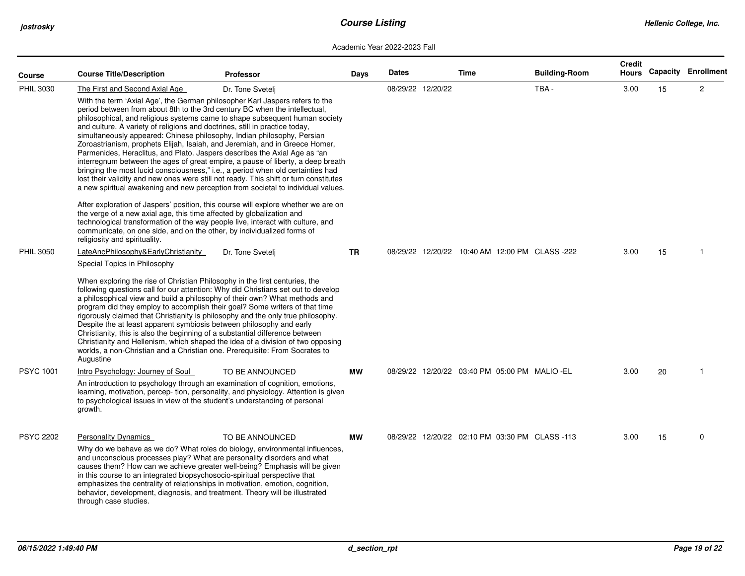| Course           | <b>Course Title/Description</b>                                                                                                                                                                                                                                                                                                                                                                                                                                                                                                                                                                                                                                                                                                                          | <b>Professor</b>                                                                                                                                                                                                                                                                                                                                                                                                                                                                                                                                                                                                                                                                                        | Days      | <b>Dates</b> |                   | <b>Time</b> | <b>Building-Room</b>                           | <b>Credit</b><br><b>Hours</b> |    | <b>Capacity Enrollment</b> |
|------------------|----------------------------------------------------------------------------------------------------------------------------------------------------------------------------------------------------------------------------------------------------------------------------------------------------------------------------------------------------------------------------------------------------------------------------------------------------------------------------------------------------------------------------------------------------------------------------------------------------------------------------------------------------------------------------------------------------------------------------------------------------------|---------------------------------------------------------------------------------------------------------------------------------------------------------------------------------------------------------------------------------------------------------------------------------------------------------------------------------------------------------------------------------------------------------------------------------------------------------------------------------------------------------------------------------------------------------------------------------------------------------------------------------------------------------------------------------------------------------|-----------|--------------|-------------------|-------------|------------------------------------------------|-------------------------------|----|----------------------------|
| <b>PHIL 3030</b> | The First and Second Axial Age<br>period between from about 8th to the 3rd century BC when the intellectual,<br>and culture. A variety of religions and doctrines, still in practice today,<br>simultaneously appeared: Chinese philosophy, Indian philosophy, Persian<br>Parmenides, Heraclitus, and Plato. Jaspers describes the Axial Age as "an                                                                                                                                                                                                                                                                                                                                                                                                      | Dr. Tone Svetelj<br>With the term 'Axial Age', the German philosopher Karl Jaspers refers to the<br>philosophical, and religious systems came to shape subsequent human society<br>Zoroastrianism, prophets Elijah, Isaiah, and Jeremiah, and in Greece Homer,<br>interregnum between the ages of great empire, a pause of liberty, a deep breath<br>bringing the most lucid consciousness," i.e., a period when old certainties had<br>lost their validity and new ones were still not ready. This shift or turn constitutes<br>a new spiritual awakening and new perception from societal to individual values.<br>After exploration of Jaspers' position, this course will explore whether we are on |           |              | 08/29/22 12/20/22 |             | TBA-                                           | 3.00                          | 15 | $\overline{2}$             |
|                  | the verge of a new axial age, this time affected by globalization and<br>communicate, on one side, and on the other, by individualized forms of<br>religiosity and spirituality.                                                                                                                                                                                                                                                                                                                                                                                                                                                                                                                                                                         | technological transformation of the way people live, interact with culture, and                                                                                                                                                                                                                                                                                                                                                                                                                                                                                                                                                                                                                         |           |              |                   |             |                                                |                               |    |                            |
| <b>PHIL 3050</b> | LateAncPhilosophy&EarlyChristianity<br>Special Topics in Philosophy                                                                                                                                                                                                                                                                                                                                                                                                                                                                                                                                                                                                                                                                                      | Dr. Tone Svetelj                                                                                                                                                                                                                                                                                                                                                                                                                                                                                                                                                                                                                                                                                        | <b>TR</b> |              |                   |             | 08/29/22 12/20/22 10:40 AM 12:00 PM CLASS -222 | 3.00                          | 15 | -1                         |
|                  | When exploring the rise of Christian Philosophy in the first centuries, the<br>following questions call for our attention: Why did Christians set out to develop<br>a philosophical view and build a philosophy of their own? What methods and<br>program did they employ to accomplish their goal? Some writers of that time<br>rigorously claimed that Christianity is philosophy and the only true philosophy.<br>Despite the at least apparent symbiosis between philosophy and early<br>Christianity, this is also the beginning of a substantial difference between<br>Christianity and Hellenism, which shaped the idea of a division of two opposing<br>worlds, a non-Christian and a Christian one. Prerequisite: From Socrates to<br>Augustine |                                                                                                                                                                                                                                                                                                                                                                                                                                                                                                                                                                                                                                                                                                         |           |              |                   |             |                                                |                               |    |                            |
| <b>PSYC 1001</b> | Intro Psychology: Journey of Soul                                                                                                                                                                                                                                                                                                                                                                                                                                                                                                                                                                                                                                                                                                                        | TO BE ANNOUNCED                                                                                                                                                                                                                                                                                                                                                                                                                                                                                                                                                                                                                                                                                         | <b>MW</b> |              |                   |             | 08/29/22 12/20/22 03:40 PM 05:00 PM MALIO -EL  | 3.00                          | 20 | -1                         |
|                  | to psychological issues in view of the student's understanding of personal<br>growth.                                                                                                                                                                                                                                                                                                                                                                                                                                                                                                                                                                                                                                                                    | An introduction to psychology through an examination of cognition, emotions,<br>learning, motivation, percep-tion, personality, and physiology. Attention is given                                                                                                                                                                                                                                                                                                                                                                                                                                                                                                                                      |           |              |                   |             |                                                |                               |    |                            |
| <b>PSYC 2202</b> | <b>Personality Dynamics</b><br>and unconscious processes play? What are personality disorders and what<br>in this course to an integrated biopsychosocio-spiritual perspective that<br>emphasizes the centrality of relationships in motivation, emotion, cognition,<br>behavior, development, diagnosis, and treatment. Theory will be illustrated<br>through case studies.                                                                                                                                                                                                                                                                                                                                                                             | TO BE ANNOUNCED<br>Why do we behave as we do? What roles do biology, environmental influences,<br>causes them? How can we achieve greater well-being? Emphasis will be given                                                                                                                                                                                                                                                                                                                                                                                                                                                                                                                            | <b>MW</b> |              |                   |             | 08/29/22 12/20/22 02:10 PM 03:30 PM CLASS -113 | 3.00                          | 15 | $\mathbf 0$                |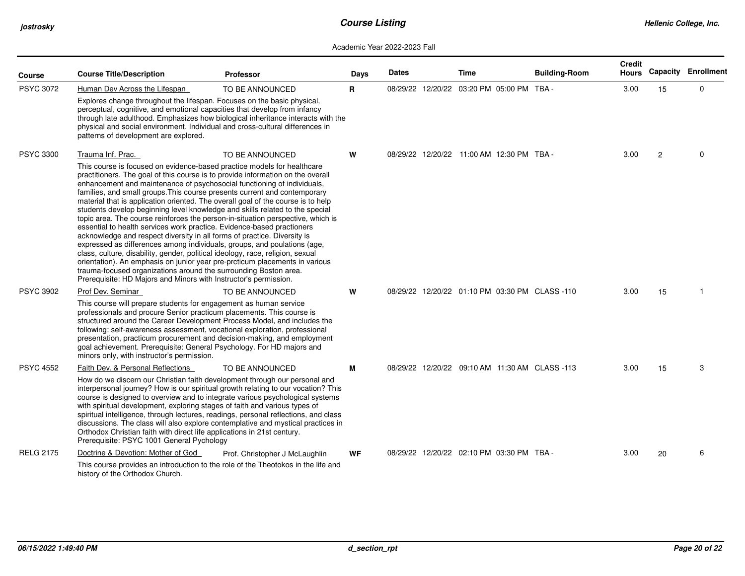| Course           | <b>Course Title/Description</b>                                                                                                                                                                                                                                                                                                                                                                                                                                                                                                                                                                                                                                                                                                                                                                                                                                                                                                                                                                                                                        | <b>Professor</b>                                                                                                                                                                                                                                                                                                                                                 | Days      | <b>Dates</b> | Time                                      | <b>Building-Room</b>                           | <b>Credit</b><br><b>Hours</b> |                | <b>Capacity Enrollment</b> |
|------------------|--------------------------------------------------------------------------------------------------------------------------------------------------------------------------------------------------------------------------------------------------------------------------------------------------------------------------------------------------------------------------------------------------------------------------------------------------------------------------------------------------------------------------------------------------------------------------------------------------------------------------------------------------------------------------------------------------------------------------------------------------------------------------------------------------------------------------------------------------------------------------------------------------------------------------------------------------------------------------------------------------------------------------------------------------------|------------------------------------------------------------------------------------------------------------------------------------------------------------------------------------------------------------------------------------------------------------------------------------------------------------------------------------------------------------------|-----------|--------------|-------------------------------------------|------------------------------------------------|-------------------------------|----------------|----------------------------|
| <b>PSYC 3072</b> | Human Dev Across the Lifespan<br>Explores change throughout the lifespan. Focuses on the basic physical,<br>perceptual, cognitive, and emotional capacities that develop from infancy<br>physical and social environment. Individual and cross-cultural differences in<br>patterns of development are explored.                                                                                                                                                                                                                                                                                                                                                                                                                                                                                                                                                                                                                                                                                                                                        | TO BE ANNOUNCED<br>through late adulthood. Emphasizes how biological inheritance interacts with the                                                                                                                                                                                                                                                              | R.        |              | 08/29/22 12/20/22 03:20 PM 05:00 PM TBA - |                                                | 3.00                          | 15             | $\mathbf 0$                |
| <b>PSYC 3300</b> | Trauma Inf. Prac.<br>This course is focused on evidence-based practice models for healthcare<br>practitioners. The goal of this course is to provide information on the overall<br>enhancement and maintenance of psychosocial functioning of individuals,<br>families, and small groups. This course presents current and contemporary<br>material that is application oriented. The overall goal of the course is to help<br>students develop beginning level knowledge and skills related to the special<br>essential to health services work practice. Evidence-based practioners<br>acknowledge and respect diversity in all forms of practice. Diversity is<br>expressed as differences among individuals, groups, and poulations (age,<br>class, culture, disability, gender, political ideology, race, religion, sexual<br>orientation). An emphasis on junior year pre-prcticum placements in various<br>trauma-focused organizations around the surrounding Boston area.<br>Prerequisite: HD Majors and Minors with Instructor's permission. | TO BE ANNOUNCED<br>topic area. The course reinforces the person-in-situation perspective, which is                                                                                                                                                                                                                                                               | W         |              | 08/29/22 12/20/22 11:00 AM 12:30 PM TBA - |                                                | 3.00                          | $\overline{2}$ | $\Omega$                   |
| <b>PSYC 3902</b> | Prof Dev. Seminar<br>This course will prepare students for engagement as human service<br>professionals and procure Senior practicum placements. This course is<br>structured around the Career Development Process Model, and includes the<br>following: self-awareness assessment, vocational exploration, professional<br>presentation, practicum procurement and decision-making, and employment<br>goal achievement. Prerequisite: General Psychology. For HD majors and<br>minors only, with instructor's permission.                                                                                                                                                                                                                                                                                                                                                                                                                                                                                                                            | TO BE ANNOUNCED                                                                                                                                                                                                                                                                                                                                                  | W         |              |                                           | 08/29/22 12/20/22 01:10 PM 03:30 PM CLASS -110 | 3.00                          | 15             |                            |
| <b>PSYC 4552</b> | Faith Dev. & Personal Reflections<br>How do we discern our Christian faith development through our personal and<br>with spiritual development, exploring stages of faith and various types of<br>Orthodox Christian faith with direct life applications in 21st century.<br>Prerequisite: PSYC 1001 General Pychology                                                                                                                                                                                                                                                                                                                                                                                                                                                                                                                                                                                                                                                                                                                                  | TO BE ANNOUNCED<br>interpersonal journey? How is our spiritual growth relating to our vocation? This<br>course is designed to overview and to integrate various psychological systems<br>spiritual intelligence, through lectures, readings, personal reflections, and class<br>discussions. The class will also explore contemplative and mystical practices in | М         |              |                                           | 08/29/22 12/20/22 09:10 AM 11:30 AM CLASS -113 | 3.00                          | 15             | 3                          |
| <b>RELG 2175</b> | Doctrine & Devotion: Mother of God<br>history of the Orthodox Church.                                                                                                                                                                                                                                                                                                                                                                                                                                                                                                                                                                                                                                                                                                                                                                                                                                                                                                                                                                                  | Prof. Christopher J McLaughlin<br>This course provides an introduction to the role of the Theotokos in the life and                                                                                                                                                                                                                                              | <b>WF</b> |              | 08/29/22 12/20/22 02:10 PM 03:30 PM TBA - |                                                | 3.00                          | 20             | 6                          |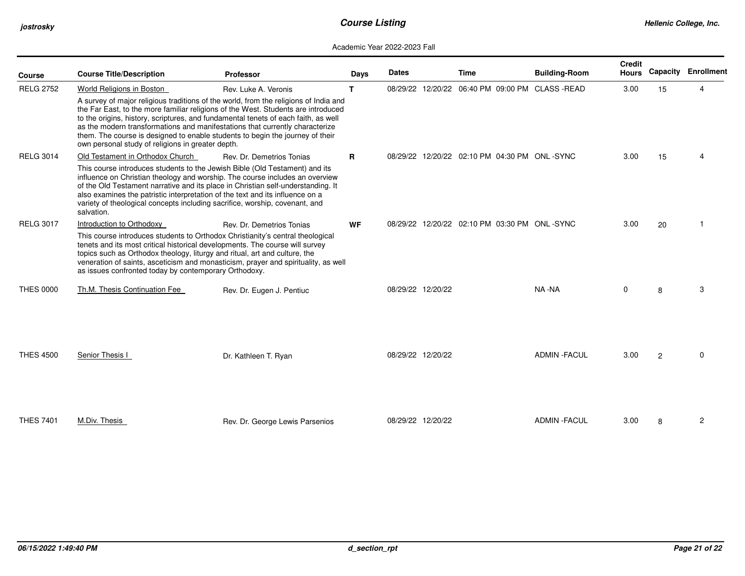| <b>Course</b>    | <b>Course Title/Description</b>                                                                                                                                                                                                                                                                                                                                                                                                                                                       | <b>Professor</b>                | Days         | <b>Dates</b>      |                   | <b>Time</b>                                     | <b>Building-Room</b> | <b>Credit</b><br><b>Hours</b> | Capacity       | Enrollment |
|------------------|---------------------------------------------------------------------------------------------------------------------------------------------------------------------------------------------------------------------------------------------------------------------------------------------------------------------------------------------------------------------------------------------------------------------------------------------------------------------------------------|---------------------------------|--------------|-------------------|-------------------|-------------------------------------------------|----------------------|-------------------------------|----------------|------------|
| <b>RELG 2752</b> | World Religions in Boston                                                                                                                                                                                                                                                                                                                                                                                                                                                             | Rev. Luke A. Veronis            | T.           |                   |                   | 08/29/22 12/20/22 06:40 PM 09:00 PM CLASS -READ |                      | 3.00                          | 15             | Δ          |
|                  | A survey of major religious traditions of the world, from the religions of India and<br>the Far East, to the more familiar religions of the West. Students are introduced<br>to the origins, history, scriptures, and fundamental tenets of each faith, as well<br>as the modern transformations and manifestations that currently characterize<br>them. The course is designed to enable students to begin the journey of their<br>own personal study of religions in greater depth. |                                 |              |                   |                   |                                                 |                      |                               |                |            |
| <b>RELG 3014</b> | Old Testament in Orthodox Church                                                                                                                                                                                                                                                                                                                                                                                                                                                      | Rev. Dr. Demetrios Tonias       | $\mathbf{R}$ |                   |                   | 08/29/22 12/20/22 02:10 PM 04:30 PM ONL-SYNC    |                      | 3.00                          | 15             |            |
|                  | This course introduces students to the Jewish Bible (Old Testament) and its<br>influence on Christian theology and worship. The course includes an overview<br>of the Old Testament narrative and its place in Christian self-understanding. It<br>also examines the patristic interpretation of the text and its influence on a<br>variety of theological concepts including sacrifice, worship, covenant, and<br>salvation.                                                         |                                 |              |                   |                   |                                                 |                      |                               |                |            |
| <b>RELG 3017</b> | Introduction to Orthodoxy                                                                                                                                                                                                                                                                                                                                                                                                                                                             | Rev. Dr. Demetrios Tonias       | <b>WF</b>    |                   |                   | 08/29/22 12/20/22 02:10 PM 03:30 PM ONL-SYNC    |                      | 3.00                          | 20             | -1         |
|                  | This course introduces students to Orthodox Christianity's central theological<br>tenets and its most critical historical developments. The course will survey<br>topics such as Orthodox theology, liturgy and ritual, art and culture, the<br>veneration of saints, asceticism and monasticism, prayer and spirituality, as well<br>as issues confronted today by contemporary Orthodoxy.                                                                                           |                                 |              |                   |                   |                                                 |                      |                               |                |            |
| <b>THES 0000</b> | Th.M. Thesis Continuation Fee                                                                                                                                                                                                                                                                                                                                                                                                                                                         | Rev. Dr. Eugen J. Pentiuc       |              | 08/29/22 12/20/22 |                   |                                                 | NA -NA               | 0                             | 8              | 3          |
| <b>THES 4500</b> | Senior Thesis I                                                                                                                                                                                                                                                                                                                                                                                                                                                                       | Dr. Kathleen T. Ryan            |              | 08/29/22 12/20/22 |                   |                                                 | <b>ADMIN - FACUL</b> | 3.00                          | $\overline{2}$ | $\Omega$   |
| <b>THES 7401</b> | M.Div. Thesis                                                                                                                                                                                                                                                                                                                                                                                                                                                                         | Rev. Dr. George Lewis Parsenios |              |                   | 08/29/22 12/20/22 |                                                 | <b>ADMIN - FACUL</b> | 3.00                          | 8              | 2          |